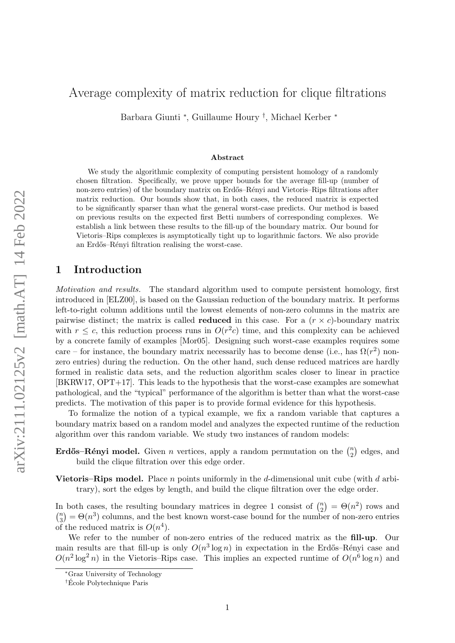# Average complexity of matrix reduction for clique filtrations

Barbara Giunti <sup>∗</sup> , Guillaume Houry † , Michael Kerber <sup>∗</sup>

#### Abstract

We study the algorithmic complexity of computing persistent homology of a randomly chosen filtration. Specifically, we prove upper bounds for the average fill-up (number of non-zero entries) of the boundary matrix on Erdős–Rényi and Vietoris–Rips filtrations after matrix reduction. Our bounds show that, in both cases, the reduced matrix is expected to be significantly sparser than what the general worst-case predicts. Our method is based on previous results on the expected first Betti numbers of corresponding complexes. We establish a link between these results to the fill-up of the boundary matrix. Our bound for Vietoris–Rips complexes is asymptotically tight up to logarithmic factors. We also provide an Erd˝os–R´enyi filtration realising the worst-case.

## 1 Introduction

Motivation and results. The standard algorithm used to compute persistent homology, first introduced in [\[ELZ00\]](#page-22-0), is based on the Gaussian reduction of the boundary matrix. It performs left-to-right column additions until the lowest elements of non-zero columns in the matrix are pairwise distinct; the matrix is called **reduced** in this case. For a  $(r \times c)$ -boundary matrix with  $r \leq c$ , this reduction process runs in  $O(r^2c)$  time, and this complexity can be achieved by a concrete family of examples [\[Mor05\]](#page-23-0). Designing such worst-case examples requires some care – for instance, the boundary matrix necessarily has to become dense (i.e., has  $\Omega(r^2)$  nonzero entries) during the reduction. On the other hand, such dense reduced matrices are hardly formed in realistic data sets, and the reduction algorithm scales closer to linear in practice [\[BKRW17,](#page-22-1) [OPT+17\]](#page-23-1). This leads to the hypothesis that the worst-case examples are somewhat pathological, and the "typical" performance of the algorithm is better than what the worst-case predicts. The motivation of this paper is to provide formal evidence for this hypothesis.

To formalize the notion of a typical example, we fix a random variable that captures a boundary matrix based on a random model and analyzes the expected runtime of the reduction algorithm over this random variable. We study two instances of random models:

- **Erdős–Rényi model.** Given *n* vertices, apply a random permutation on the  $\binom{n}{2}$  $n \choose 2$  edges, and build the clique filtration over this edge order.
- **Vietoris–Rips model.** Place *n* points uniformly in the d-dimensional unit cube (with d arbitrary), sort the edges by length, and build the clique filtration over the edge order.

In both cases, the resulting boundary matrices in degree 1 consist of  $\binom{n}{2}$  $\binom{n}{2} = \Theta(n^2)$  rows and  $\binom{n}{2}$  $\mathbf{a}_3^{(n)} = \Theta(n^3)$  columns, and the best known worst-case bound for the number of non-zero entries of the reduced matrix is  $O(n^4)$ .

We refer to the number of non-zero entries of the reduced matrix as the fill-up. Our main results are that fill-up is only  $O(n^3 \log n)$  in expectation in the Erdős–Rényi case and  $O(n^2 \log^2 n)$  in the Vietoris–Rips case. This implies an expected runtime of  $O(n^6 \log n)$  and

<sup>∗</sup>Graz University of Technology

<sup>†</sup>Ecole Polytechnique Paris ´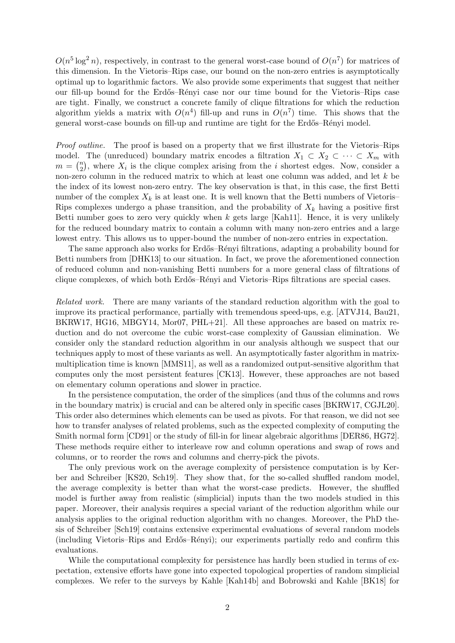$O(n^5 \log^2 n)$ , respectively, in contrast to the general worst-case bound of  $O(n^7)$  for matrices of this dimension. In the Vietoris–Rips case, our bound on the non-zero entries is asymptotically optimal up to logarithmic factors. We also provide some experiments that suggest that neither our fill-up bound for the Erdős–Rényi case nor our time bound for the Vietoris–Rips case are tight. Finally, we construct a concrete family of clique filtrations for which the reduction algorithm yields a matrix with  $O(n^4)$  fill-up and runs in  $O(n^7)$  time. This shows that the general worst-case bounds on fill-up and runtime are tight for the Erdős–Rényi model.

Proof outline. The proof is based on a property that we first illustrate for the Vietoris–Rips model. The (unreduced) boundary matrix encodes a filtration  $X_1 \subset X_2 \subset \cdots \subset X_m$  with  $m = \binom{n}{2}$  $\binom{n}{2}$ , where  $X_i$  is the clique complex arising from the *i* shortest edges. Now, consider a non-zero column in the reduced matrix to which at least one column was added, and let  $k$  be the index of its lowest non-zero entry. The key observation is that, in this case, the first Betti number of the complex  $X_k$  is at least one. It is well known that the Betti numbers of Vietoris– Rips complexes undergo a phase transition, and the probability of  $X_k$  having a positive first Betti number goes to zero very quickly when  $k$  gets large [\[Kah11\]](#page-23-2). Hence, it is very unlikely for the reduced boundary matrix to contain a column with many non-zero entries and a large lowest entry. This allows us to upper-bound the number of non-zero entries in expectation.

The same approach also works for Erdős–Rényi filtrations, adapting a probability bound for Betti numbers from [\[DHK13\]](#page-22-2) to our situation. In fact, we prove the aforementioned connection of reduced column and non-vanishing Betti numbers for a more general class of filtrations of clique complexes, of which both Erdős–Rényi and Vietoris–Rips filtrations are special cases.

Related work. There are many variants of the standard reduction algorithm with the goal to improve its practical performance, partially with tremendous speed-ups, e.g. [\[ATVJ14,](#page-22-3) [Bau21,](#page-22-4) [BKRW17,](#page-22-1) [HG16,](#page-23-3) [MBGY14,](#page-23-4) [Mor07,](#page-23-5) [PHL+21\]](#page-23-6). All these approaches are based on matrix reduction and do not overcome the cubic worst-case complexity of Gaussian elimination. We consider only the standard reduction algorithm in our analysis although we suspect that our techniques apply to most of these variants as well. An asymptotically faster algorithm in matrixmultiplication time is known [\[MMS11\]](#page-23-7), as well as a randomized output-sensitive algorithm that computes only the most persistent features [\[CK13\]](#page-22-5). However, these approaches are not based on elementary column operations and slower in practice.

In the persistence computation, the order of the simplices (and thus of the columns and rows in the boundary matrix) is crucial and can be altered only in specific cases [\[BKRW17,](#page-22-1) [CGJL20\]](#page-22-6). This order also determines which elements can be used as pivots. For that reason, we did not see how to transfer analyses of related problems, such as the expected complexity of computing the Smith normal form [\[CD91\]](#page-22-7) or the study of fill-in for linear algebraic algorithms [\[DER86,](#page-22-8) [HG72\]](#page-22-9). These methods require either to interleave row and column operations and swap of rows and columns, or to reorder the rows and columns and cherry-pick the pivots.

The only previous work on the average complexity of persistence computation is by Kerber and Schreiber [\[KS20,](#page-23-8) [Sch19\]](#page-23-9). They show that, for the so-called shuffled random model, the average complexity is better than what the worst-case predicts. However, the shuffled model is further away from realistic (simplicial) inputs than the two models studied in this paper. Moreover, their analysis requires a special variant of the reduction algorithm while our analysis applies to the original reduction algorithm with no changes. Moreover, the PhD thesis of Schreiber [\[Sch19\]](#page-23-9) contains extensive experimental evaluations of several random models (including Vietoris–Rips and Erd˝os–R´enyi); our experiments partially redo and confirm this evaluations.

While the computational complexity for persistence has hardly been studied in terms of expectation, extensive efforts have gone into expected topological properties of random simplicial complexes. We refer to the surveys by Kahle [\[Kah14b\]](#page-23-10) and Bobrowski and Kahle [\[BK18\]](#page-22-10) for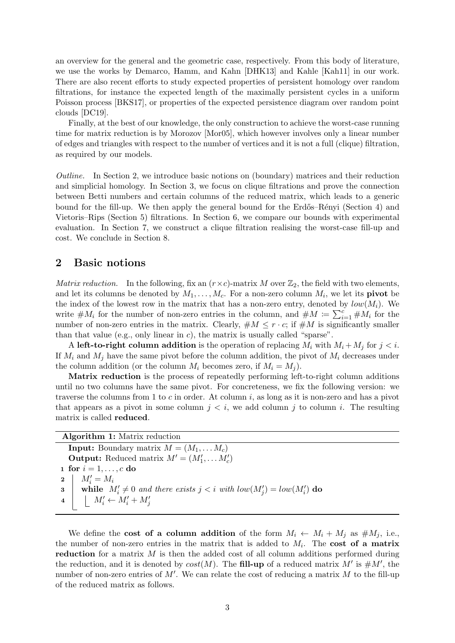an overview for the general and the geometric case, respectively. From this body of literature, we use the works by Demarco, Hamm, and Kahn [\[DHK13\]](#page-22-2) and Kahle [\[Kah11\]](#page-23-2) in our work. There are also recent efforts to study expected properties of persistent homology over random filtrations, for instance the expected length of the maximally persistent cycles in a uniform Poisson process [\[BKS17\]](#page-22-11), or properties of the expected persistence diagram over random point clouds [\[DC19\]](#page-22-12).

Finally, at the best of our knowledge, the only construction to achieve the worst-case running time for matrix reduction is by Morozov [\[Mor05\]](#page-23-0), which however involves only a linear number of edges and triangles with respect to the number of vertices and it is not a full (clique) filtration, as required by our models.

Outline. In Section [2,](#page-2-0) we introduce basic notions on (boundary) matrices and their reduction and simplicial homology. In Section [3,](#page-4-0) we focus on clique filtrations and prove the connection between Betti numbers and certain columns of the reduced matrix, which leads to a generic bound for the fill-up. We then apply the general bound for the Erdős–Rényi (Section [4\)](#page-6-0) and Vietoris–Rips (Section [5\)](#page-8-0) filtrations. In Section [6,](#page-10-0) we compare our bounds with experimental evaluation. In Section [7,](#page-11-0) we construct a clique filtration realising the worst-case fill-up and cost. We conclude in Section [8.](#page-15-0)

## <span id="page-2-0"></span>2 Basic notions

*Matrix reduction.* In the following, fix an  $(r \times c)$ -matrix M over  $\mathbb{Z}_2$ , the field with two elements, and let its columns be denoted by  $M_1, \ldots, M_c$ . For a non-zero column  $M_i$ , we let its **pivot** be the index of the lowest row in the matrix that has a non-zero entry, denoted by  $low(M<sub>i</sub>)$ . We write  $\#M_i$  for the number of non-zero entries in the column, and  $\#M \coloneqq \sum_{i=1}^{c} \#M_i$  for the number of non-zero entries in the matrix. Clearly,  $\#M \leq r \cdot c$ ; if  $\#M$  is significantly smaller than that value (e.g., only linear in c), the matrix is usually called "sparse".

A left-to-right column addition is the operation of replacing  $M_i$  with  $M_i + M_j$  for  $j < i$ . If  $M_i$  and  $M_j$  have the same pivot before the column addition, the pivot of  $M_i$  decreases under the column addition (or the column  $M_i$  becomes zero, if  $M_i = M_j$ ).

Matrix reduction is the process of repeatedly performing left-to-right column additions until no two columns have the same pivot. For concreteness, we fix the following version: we traverse the columns from 1 to  $c$  in order. At column  $i$ , as long as it is non-zero and has a pivot that appears as a pivot in some column  $j < i$ , we add column j to column i. The resulting matrix is called reduced.

| <b>Algorithm 1:</b> Matrix reduction                                                     |
|------------------------------------------------------------------------------------------|
| <b>Input:</b> Boundary matrix $M = (M_1, \ldots M_c)$                                    |
| <b>Output:</b> Reduced matrix $M' = (M'_1, \dots, M'_c)$                                 |
| 1 for $i = 1, , c$ do                                                                    |
| $2 \mid M'_i = M_i$                                                                      |
| while $M'_i \neq 0$ and there exists $j < i$ with $low(M'_i) = low(M'_i)$ do<br>$3 \mid$ |
| 4   $M'_i \leftarrow M'_i + M'_j$                                                        |

<span id="page-2-1"></span>We define the **cost of a column addition** of the form  $M_i \leftarrow M_i + M_j$  as  $\#M_j$ , i.e., the number of non-zero entries in the matrix that is added to  $M_i$ . The **cost of a matrix** reduction for a matrix  $M$  is then the added cost of all column additions performed during the reduction, and it is denoted by  $cost(M)$ . The **fill-up** of a reduced matrix M' is  $\#M'$ , the number of non-zero entries of  $M'$ . We can relate the cost of reducing a matrix M to the fill-up of the reduced matrix as follows.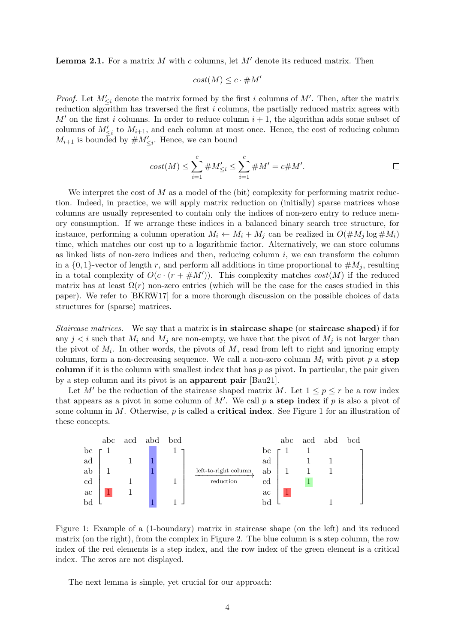**Lemma 2.1.** For a matrix M with c columns, let  $M'$  denote its reduced matrix. Then

$$
cost(M) \le c \cdot \# M'
$$

*Proof.* Let  $M'_{\leq i}$  denote the matrix formed by the first i columns of M'. Then, after the matrix reduction algorithm has traversed the first i columns, the partially reduced matrix agrees with  $M'$  on the first i columns. In order to reduce column  $i + 1$ , the algorithm adds some subset of columns of  $M'_{\leq i}$  to  $M_{i+1}$ , and each column at most once. Hence, the cost of reducing column  $M_{i+1}$  is bounded by  $#M'_{\leq i}$ . Hence, we can bound

$$
cost(M) \le \sum_{i=1}^{c} \#M'_{\le i} \le \sum_{i=1}^{c} \#M' = c \#M'.
$$

We interpret the cost of  $M$  as a model of the (bit) complexity for performing matrix reduction. Indeed, in practice, we will apply matrix reduction on (initially) sparse matrices whose columns are usually represented to contain only the indices of non-zero entry to reduce memory consumption. If we arrange these indices in a balanced binary search tree structure, for instance, performing a column operation  $M_i \leftarrow M_i + M_j$  can be realized in  $O(\#M_i \log \#M_i)$ time, which matches our cost up to a logarithmic factor. Alternatively, we can store columns as linked lists of non-zero indices and then, reducing column  $i$ , we can transform the column in a  $\{0, 1\}$ -vector of length r, and perform all additions in time proportional to  $\#M_i$ , resulting in a total complexity of  $O(c \cdot (r + \# M'))$ . This complexity matches  $cost(M)$  if the reduced matrix has at least  $\Omega(r)$  non-zero entries (which will be the case for the cases studied in this paper). We refer to [\[BKRW17\]](#page-22-1) for a more thorough discussion on the possible choices of data structures for (sparse) matrices.

Staircase matrices. We say that a matrix is in staircase shape (or staircase shaped) if for any  $j < i$  such that  $M_i$  and  $M_j$  are non-empty, we have that the pivot of  $M_j$  is not larger than the pivot of  $M_i$ . In other words, the pivots of  $M$ , read from left to right and ignoring empty columns, form a non-decreasing sequence. We call a non-zero column  $M_i$  with pivot p a step column if it is the column with smallest index that has  $p$  as pivot. In particular, the pair given by a step column and its pivot is an apparent pair [\[Bau21\]](#page-22-4).

Let M' be the reduction of the staircase shaped matrix M. Let  $1 \leq p \leq r$  be a row index that appears as a pivot in some column of  $M'$ . We call p a step index if p is also a pivot of some column in M. Otherwise,  $p$  is called a **critical index**. See Figure [1](#page-3-0) for an illustration of these concepts.

<span id="page-3-0"></span>

Figure 1: Example of a (1-boundary) matrix in staircase shape (on the left) and its reduced matrix (on the right), from the complex in Figure [2.](#page-6-1) The blue column is a step column, the row index of the red elements is a step index, and the row index of the green element is a critical index. The zeros are not displayed.

<span id="page-3-1"></span>The next lemma is simple, yet crucial for our approach: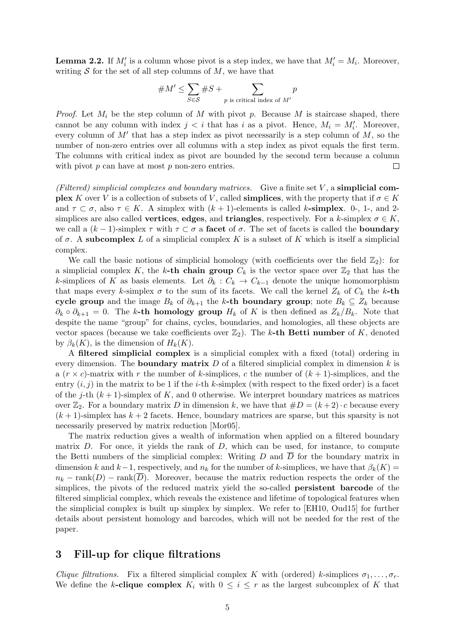**Lemma 2.2.** If  $M_i'$  is a column whose pivot is a step index, we have that  $M_i' = M_i$ . Moreover, writing  $S$  for the set of all step columns of  $M$ , we have that

#M<sup>0</sup> ≤ X S∈S #S + X p is critical index of M<sup>0</sup> p

*Proof.* Let  $M_i$  be the step column of M with pivot p. Because M is staircase shaped, there cannot be any column with index  $j < i$  that has i as a pivot. Hence,  $M_i = M'_i$ . Moreover, every column of  $M'$  that has a step index as pivot necessarily is a step column of  $M$ , so the number of non-zero entries over all columns with a step index as pivot equals the first term. The columns with critical index as pivot are bounded by the second term because a column with pivot  $p$  can have at most  $p$  non-zero entries.  $\Box$ 

(Filtered) simplicial complexes and boundary matrices. Give a finite set  $V$ , a simplicial com**plex** K over V is a collection of subsets of V, called **simplices**, with the property that if  $\sigma \in K$ and  $\tau \subset \sigma$ , also  $\tau \in K$ . A simplex with  $(k+1)$ -elements is called k-simplex. 0-, 1-, and 2simplices are also called **vertices**, **edges**, and **triangles**, respectively. For a k-simplex  $\sigma \in K$ , we call a  $(k-1)$ -simplex  $\tau$  with  $\tau \subset \sigma$  a facet of  $\sigma$ . The set of facets is called the **boundary** of  $\sigma$ . A subcomplex L of a simplicial complex K is a subset of K which is itself a simplicial complex.

We call the basic notions of simplicial homology (with coefficients over the field  $\mathbb{Z}_2$ ): for a simplicial complex K, the k-th chain group  $C_k$  is the vector space over  $\mathbb{Z}_2$  that has the k-simplices of K as basis elements. Let  $\partial_k$  :  $C_k \to C_{k-1}$  denote the unique homomorphism that maps every k-simplex  $\sigma$  to the sum of its facets. We call the kernel  $Z_k$  of  $C_k$  the k-th cycle group and the image  $B_k$  of  $\partial_{k+1}$  the k-th boundary group; note  $B_k \subseteq Z_k$  because  $\partial_k \circ \partial_{k+1} = 0$ . The k-th homology group  $H_k$  of K is then defined as  $Z_k/B_k$ . Note that despite the name "group" for chains, cycles, boundaries, and homologies, all these objects are vector spaces (because we take coefficients over  $\mathbb{Z}_2$ ). The k-th Betti number of K, denoted by  $\beta_k(K)$ , is the dimension of  $H_k(K)$ .

A filtered simplicial complex is a simplicial complex with a fixed (total) ordering in every dimension. The **boundary matrix**  $D$  of a filtered simplicial complex in dimension  $k$  is a  $(r \times c)$ -matrix with r the number of k-simplices, c the number of  $(k + 1)$ -simplices, and the entry  $(i, j)$  in the matrix to be 1 if the *i*-th *k*-simplex (with respect to the fixed order) is a facet of the j-th  $(k+1)$ -simplex of K, and 0 otherwise. We interpret boundary matrices as matrices over  $\mathbb{Z}_2$ . For a boundary matrix D in dimension k, we have that  $\#D = (k+2) \cdot c$  because every  $(k+1)$ -simplex has  $k+2$  facets. Hence, boundary matrices are sparse, but this sparsity is not necessarily preserved by matrix reduction [\[Mor05\]](#page-23-0).

The matrix reduction gives a wealth of information when applied on a filtered boundary matrix  $D$ . For once, it yields the rank of  $D$ , which can be used, for instance, to compute the Betti numbers of the simplicial complex: Writing  $D$  and  $\overline{D}$  for the boundary matrix in dimension k and k−1, respectively, and  $n_k$  for the number of k-simplices, we have that  $\beta_k(K)$  =  $n_k$  − rank(D) − rank(D). Moreover, because the matrix reduction respects the order of the simplices, the pivots of the reduced matrix yield the so-called persistent barcode of the filtered simplicial complex, which reveals the existence and lifetime of topological features when the simplicial complex is built up simplex by simplex. We refer to [\[EH10,](#page-22-13) [Oud15\]](#page-23-11) for further details about persistent homology and barcodes, which will not be needed for the rest of the paper.

# <span id="page-4-0"></span>3 Fill-up for clique filtrations

*Clique filtrations.* Fix a filtered simplicial complex K with (ordered) k-simplices  $\sigma_1, \ldots, \sigma_r$ . We define the k-clique complex  $K_i$  with  $0 \leq i \leq r$  as the largest subcomplex of K that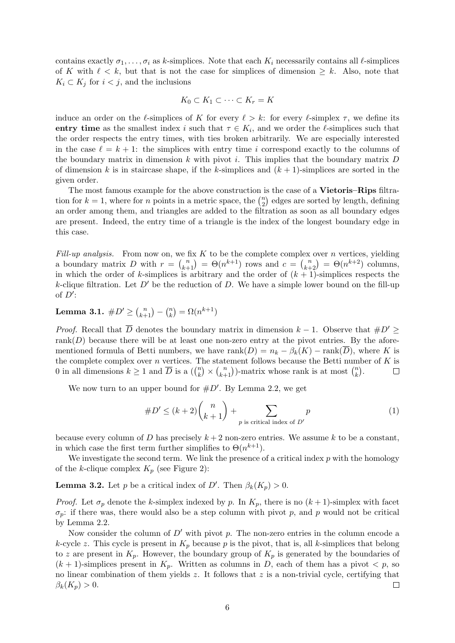contains exactly  $\sigma_1, \ldots, \sigma_i$  as k-simplices. Note that each  $K_i$  necessarily contains all  $\ell$ -simplices of K with  $\ell < k$ , but that is not the case for simplices of dimension  $\geq k$ . Also, note that  $K_i \subset K_j$  for  $i < j$ , and the inclusions

$$
K_0 \subset K_1 \subset \cdots \subset K_r = K
$$

induce an order on the  $\ell$ -simplices of K for every  $\ell > k$ : for every  $\ell$ -simplex  $\tau$ , we define its entry time as the smallest index i such that  $\tau \in K_i$ , and we order the  $\ell$ -simplices such that the order respects the entry times, with ties broken arbitrarily. We are especially interested in the case  $\ell = k + 1$ : the simplices with entry time i correspond exactly to the columns of the boundary matrix in dimension  $k$  with pivot i. This implies that the boundary matrix  $D$ of dimension k is in staircase shape, if the k-simplices and  $(k + 1)$ -simplices are sorted in the given order.

The most famous example for the above construction is the case of a **Vietoris–Rips** filtration for  $k = 1$ , where for *n* points in a metric space, the  $\binom{n}{2}$  $\binom{n}{2}$  edges are sorted by length, defining an order among them, and triangles are added to the filtration as soon as all boundary edges are present. Indeed, the entry time of a triangle is the index of the longest boundary edge in this case.

Fill-up analysis. From now on, we fix  $K$  to be the complete complex over n vertices, yielding a boundary matrix D with  $r = {n \choose k+1} = \Theta(n^{k+1})$  rows and  $c = {n \choose k+2} = \Theta(n^{k+2})$  columns, in which the order of k-simplices is arbitrary and the order of  $(k+1)$ -simplices respects the k-clique filtration. Let  $D'$  be the reduction of D. We have a simple lower bound on the fill-up of  $D'$ :

<span id="page-5-1"></span>Lemma 3.1.  $\#D' \geq {n \choose k+1} - {n \choose k}$  $\binom{n}{k} = \Omega(n^{k+1})$ 

*Proof.* Recall that  $\overline{D}$  denotes the boundary matrix in dimension  $k - 1$ . Observe that  $#D' \geq$ rank $(D)$  because there will be at least one non-zero entry at the pivot entries. By the aforementioned formula of Betti numbers, we have  $rank(D) = n_k - \beta_k(K) - rank(\overline{D})$ , where K is the complete complex over  $n$  vertices. The statement follows because the Betti number of  $K$  is 0 in all dimensions  $k \geq 1$  and  $\overline{D}$  is a  $\binom{n}{k}$  $\binom{n}{k} \times \binom{n}{k+1}$ -matrix whose rank is at most  $\binom{n}{k}$  $\binom{n}{k}$ .  $\Box$ 

We now turn to an upper bound for  $\#D'$ . By [Lemma 2.2,](#page-3-1) we get

<span id="page-5-0"></span>#D<sup>0</sup> <sup>≤</sup> (<sup>k</sup> + 2) n <sup>k</sup> + 1 + X p is critical index of D<sup>0</sup> p (1)

because every column of D has precisely  $k + 2$  non-zero entries. We assume k to be a constant, in which case the first term further simplifies to  $\Theta(n^{k+1})$ .

We investigate the second term. We link the presence of a critical index  $p$  with the homology of the k-clique complex  $K_p$  (see Figure [2\)](#page-6-1):

<span id="page-5-2"></span>**Lemma 3.2.** Let p be a critical index of D'. Then  $\beta_k(K_p) > 0$ .

*Proof.* Let  $\sigma_p$  denote the k-simplex indexed by p. In  $K_p$ , there is no  $(k+1)$ -simplex with facet  $\sigma_p$ : if there was, there would also be a step column with pivot p, and p would not be critical by [Lemma 2.2.](#page-3-1)

Now consider the column of  $D'$  with pivot p. The non-zero entries in the column encode a k-cycle z. This cycle is present in  $K_p$  because p is the pivot, that is, all k-simplices that belong to z are present in  $K_p$ . However, the boundary group of  $K_p$  is generated by the boundaries of  $(k + 1)$ -simplices present in  $K_p$ . Written as columns in D, each of them has a pivot  $\langle p, \text{ so} \rangle$ no linear combination of them yields  $z$ . It follows that  $z$  is a non-trivial cycle, certifying that  $\beta_k(K_p) > 0.$  $\Box$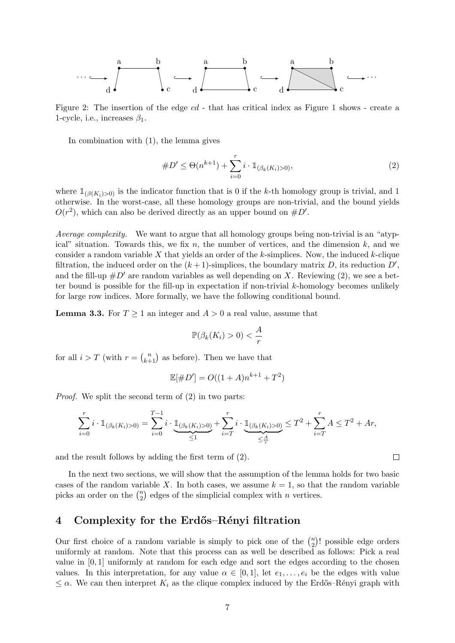<span id="page-6-1"></span>

Figure 2: The insertion of the edge cd - that has critical index as Figure [1](#page-3-0) shows - create a 1-cycle, i.e., increases  $\beta_1$ .

In combination with [\(1\)](#page-5-0), the lemma gives

<span id="page-6-2"></span>#D<sup>0</sup> ≤ Θ(n <sup>k</sup>+1) +X<sup>r</sup> i=0 <sup>i</sup> · <sup>1</sup>(βk(Ki)>0), (2)

where  $\mathbb{1}_{(\beta(K_i)>0)}$  is the indicator function that is 0 if the k-th homology group is trivial, and 1 otherwise. In the worst-case, all these homology groups are non-trivial, and the bound yields  $O(r^2)$ , which can also be derived directly as an upper bound on  $\#D'$ .

Average complexity. We want to argue that all homology groups being non-trivial is an "atypical" situation. Towards this, we fix n, the number of vertices, and the dimension  $k$ , and we consider a random variable  $X$  that yields an order of the  $k$ -simplices. Now, the induced  $k$ -clique filtration, the induced order on the  $(k+1)$ -simplices, the boundary matrix D, its reduction  $D'$ , and the fill-up  $\#D'$  are random variables as well depending on X. Reviewing [\(2\)](#page-6-2), we see a better bound is possible for the fill-up in expectation if non-trivial k-homology becomes unlikely for large row indices. More formally, we have the following conditional bound.

<span id="page-6-3"></span>**Lemma 3.3.** For  $T \geq 1$  an integer and  $A > 0$  a real value, assume that

$$
\mathbb{P}(\beta_k(K_i) > 0) < \frac{A}{r}
$$

for all  $i > T$  (with  $r = {n \choose k+1}$  as before). Then we have that

$$
\mathbb{E}[\#D'] = O((1+A)n^{k+1} + T^2)
$$

Proof. We split the second term of [\(2\)](#page-6-2) in two parts:

$$
\sum_{i=0}^r i \cdot \mathbb{1}_{(\beta_k(K_i) > 0)} = \sum_{i=0}^{T-1} i \cdot \underbrace{\mathbb{1}_{(\beta_k(K_i) > 0)}}_{\leq 1} + \sum_{i=T}^r i \cdot \underbrace{\mathbb{1}_{(\beta_k(K_i) > 0)}}_{\leq \frac{A}{r}} \leq T^2 + \sum_{i=T}^r A \leq T^2 + Ar,
$$

and the result follows by adding the first term of [\(2\)](#page-6-2).

In the next two sections, we will show that the assumption of the lemma holds for two basic cases of the random variable X. In both cases, we assume  $k = 1$ , so that the random variable picks an order on the  $\binom{n}{2}$  $n \choose 2$  edges of the simplicial complex with *n* vertices.

#### <span id="page-6-0"></span>4 Complexity for the Erdős–Rényi filtration

Our first choice of a random variable is simply to pick one of the  $\binom{n}{2}$  $n_2$ )! possible edge orders uniformly at random. Note that this process can as well be described as follows: Pick a real value in  $[0, 1]$  uniformly at random for each edge and sort the edges according to the chosen values. In this interpretation, for any value  $\alpha \in [0,1]$ , let  $e_1, \ldots, e_i$  be the edges with value  $\leq \alpha$ . We can then interpret  $K_i$  as the clique complex induced by the Erdős–Rényi graph with

 $\Box$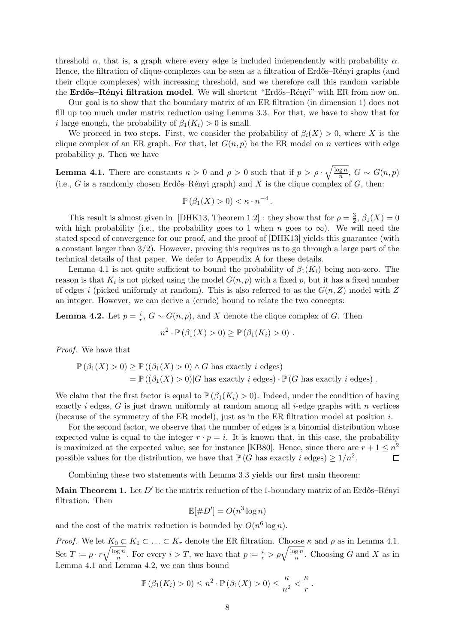threshold  $\alpha$ , that is, a graph where every edge is included independently with probability  $\alpha$ . Hence, the filtration of clique-complexes can be seen as a filtration of Erdős–Rényi graphs (and their clique complexes) with increasing threshold, and we therefore call this random variable the Erdős-Rényi filtration model. We will shortcut "Erdős-Rényi" with ER from now on.

Our goal is to show that the boundary matrix of an ER filtration (in dimension 1) does not fill up too much under matrix reduction using Lemma [3.3.](#page-6-3) For that, we have to show that for i large enough, the probability of  $\beta_1(K_i) > 0$  is small.

We proceed in two steps. First, we consider the probability of  $\beta_i(X) > 0$ , where X is the clique complex of an ER graph. For that, let  $G(n, p)$  be the ER model on n vertices with edge probability p. Then we have

<span id="page-7-0"></span>**Lemma 4.1.** There are constants  $\kappa > 0$  and  $\rho > 0$  such that if  $p > \rho \cdot \sqrt{\frac{\log n}{n}}$  $\frac{qgn}{n}$ ,  $G \sim G(n,p)$ (i.e., G is a randomly chosen Erdős–Rényi graph) and X is the clique complex of G, then:

$$
\mathbb{P}\left(\beta_1(X) > 0\right) < \kappa \cdot n^{-4}.
$$

This result is almost given in [\[DHK13,](#page-22-2) Theorem 1.2]: they show that for  $\rho = \frac{3}{2}$  $\frac{3}{2}, \beta_1(X) = 0$ with high probability (i.e., the probability goes to 1 when n goes to  $\infty$ ). We will need the stated speed of convergence for our proof, and the proof of [\[DHK13\]](#page-22-2) yields this guarantee (with a constant larger than  $3/2$ ). However, proving this requires us to go through a large part of the technical details of that paper. We defer to [Appendix A](#page-16-0) for these details.

[Lemma 4.1](#page-7-0) is not quite sufficient to bound the probability of  $\beta_1(K_i)$  being non-zero. The reason is that  $K_i$  is not picked using the model  $G(n, p)$  with a fixed  $p$ , but it has a fixed number of edges i (picked uniformly at random). This is also referred to as the  $G(n, Z)$  model with Z an integer. However, we can derive a (crude) bound to relate the two concepts:

<span id="page-7-1"></span>**Lemma 4.2.** Let  $p = \frac{i}{r}$  $\frac{i}{r}$ ,  $G \sim G(n, p)$ , and X denote the clique complex of G. Then

$$
n^2 \cdot \mathbb{P}(\beta_1(X) > 0) \ge \mathbb{P}(\beta_1(K_i) > 0) .
$$

Proof. We have that

$$
\mathbb{P}(\beta_1(X) > 0) \ge \mathbb{P}((\beta_1(X) > 0) \land G \text{ has exactly } i \text{ edges})
$$
  
=  $\mathbb{P}((\beta_1(X) > 0)|G \text{ has exactly } i \text{ edges}) \cdot \mathbb{P}(G \text{ has exactly } i \text{ edges})$ .

We claim that the first factor is equal to  $\mathbb{P}(\beta_1(K_i) > 0)$ . Indeed, under the condition of having exactly i edges, G is just drawn uniformly at random among all i-edge graphs with n vertices (because of the symmetry of the ER model), just as in the ER filtration model at position i.

For the second factor, we observe that the number of edges is a binomial distribution whose expected value is equal to the integer  $r \cdot p = i$ . It is known that, in this case, the probability is maximized at the expected value, see for instance [\[KB80\]](#page-23-12). Hence, since there are  $r + 1 \leq n^2$ possible values for the distribution, we have that  $\mathbb{P}(G \text{ has exactly } i \text{ edges}) \geq 1/n^2$ .  $\Box$ 

Combining these two statements with [Lemma 3.3](#page-6-3) yields our first main theorem:

<span id="page-7-2"></span>**Main Theorem 1.** Let  $D'$  be the matrix reduction of the 1-boundary matrix of an Erdős–Rényi filtration. Then

$$
\mathbb{E}[\#D'] = O(n^3 \log n)
$$

and the cost of the matrix reduction is bounded by  $O(n^6 \log n)$ .

*Proof.* We let  $K_0 \subset K_1 \subset \ldots \subset K_r$  denote the ER filtration. Choose  $\kappa$  and  $\rho$  as in [Lemma 4.1.](#page-7-0) Set  $T \coloneqq \rho \cdot r \sqrt{\frac{\log n}{n}}$  $\frac{\sqrt{gn}}{n}$ . For every  $i > T$ , we have that  $p := \frac{i}{r} > \rho \sqrt{\frac{\log n}{n}}$  $\frac{\log n}{n}$ . Choosing G and X as in [Lemma 4.1](#page-7-0) and [Lemma 4.2,](#page-7-1) we can thus bound

$$
\mathbb{P}(\beta_1(K_i) > 0) \leq n^2 \cdot \mathbb{P}(\beta_1(X) > 0) \leq \frac{\kappa}{n^2} < \frac{\kappa}{r}.
$$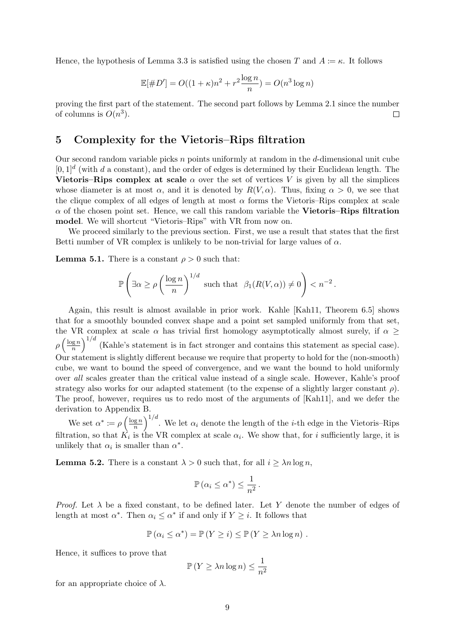Hence, the hypothesis of [Lemma 3.3](#page-6-3) is satisfied using the chosen T and  $A = \kappa$ . It follows

$$
\mathbb{E}[\#D'] = O((1+\kappa)n^2 + r^2 \frac{\log n}{n}) = O(n^3 \log n)
$$

proving the first part of the statement. The second part follows by [Lemma 2.1](#page-2-1) since the number of columns is  $O(n^3)$ .  $\Box$ 

## <span id="page-8-0"></span>5 Complexity for the Vietoris–Rips filtration

Our second random variable picks  $n$  points uniformly at random in the  $d$ -dimensional unit cube  $[0,1]^d$  (with d a constant), and the order of edges is determined by their Euclidean length. The Vietoris–Rips complex at scale  $\alpha$  over the set of vertices V is given by all the simplices whose diameter is at most  $\alpha$ , and it is denoted by  $R(V,\alpha)$ . Thus, fixing  $\alpha > 0$ , we see that the clique complex of all edges of length at most  $\alpha$  forms the Vietoris–Rips complex at scale  $\alpha$  of the chosen point set. Hence, we call this random variable the **Vietoris–Rips filtration** model. We will shortcut "Vietoris–Rips" with VR from now on.

We proceed similarly to the previous section. First, we use a result that states that the first Betti number of VR complex is unlikely to be non-trivial for large values of  $\alpha$ .

<span id="page-8-1"></span>**Lemma 5.1.** There is a constant  $\rho > 0$  such that:

$$
\mathbb{P}\left(\exists \alpha \ge \rho \left(\frac{\log n}{n}\right)^{1/d} \text{ such that } \beta_1(R(V,\alpha)) \ne 0\right) < n^{-2}.
$$

Again, this result is almost available in prior work. Kahle [\[Kah11,](#page-23-2) Theorem 6.5] shows that for a smoothly bounded convex shape and a point set sampled uniformly from that set, the VR complex at scale  $\alpha$  has trivial first homology asymptotically almost surely, if  $\alpha \geq$  $\rho\left(\frac{\log n}{n}\right)$  $\left(\frac{g n}{n}\right)^{1/d}$  (Kahle's statement is in fact stronger and contains this statement as special case). Our statement is slightly different because we require that property to hold for the (non-smooth) cube, we want to bound the speed of convergence, and we want the bound to hold uniformly over all scales greater than the critical value instead of a single scale. However, Kahle's proof strategy also works for our adapted statement (to the expense of a slightly larger constant  $\rho$ ). The proof, however, requires us to redo most of the arguments of [\[Kah11\]](#page-23-2), and we defer the derivation to Appendix [B.](#page-19-0)

We set  $\alpha^* \coloneqq \rho \left( \frac{\log n}{n} \right)$  $\left(\frac{\text{g }n}{n}\right)^{1/d}$ . We let  $\alpha_i$  denote the length of the *i*-th edge in the Vietoris–Rips filtration, so that  $K_i$  is the VR complex at scale  $\alpha_i$ . We show that, for i sufficiently large, it is unlikely that  $\alpha_i$  is smaller than  $\alpha^*$ .

<span id="page-8-2"></span>**Lemma 5.2.** There is a constant  $\lambda > 0$  such that, for all  $i \geq \lambda n \log n$ ,

$$
\mathbb{P}\left(\alpha_i \leq \alpha^*\right) \leq \frac{1}{n^2}.
$$

*Proof.* Let  $\lambda$  be a fixed constant, to be defined later. Let Y denote the number of edges of length at most  $\alpha^*$ . Then  $\alpha_i \leq \alpha^*$  if and only if  $Y \geq i$ . It follows that

$$
\mathbb{P}(\alpha_i \le \alpha^*) = \mathbb{P}(Y \ge i) \le \mathbb{P}(Y \ge \lambda n \log n) .
$$

Hence, it suffices to prove that

$$
\mathbb{P}\left(Y \ge \lambda n \log n\right) \le \frac{1}{n^2}
$$

for an appropriate choice of  $\lambda$ .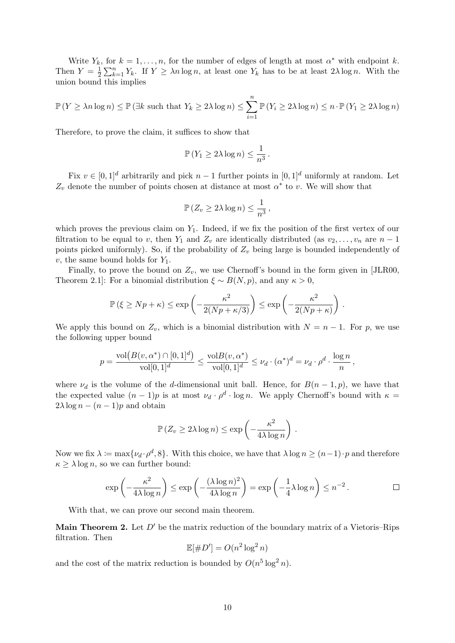Write  $Y_k$ , for  $k = 1, ..., n$ , for the number of edges of length at most  $\alpha^*$  with endpoint k. Then  $Y=\frac{1}{2}$  $\frac{1}{2}\sum_{k=1}^n Y_k$ . If  $Y \geq \lambda n \log n$ , at least one  $Y_k$  has to be at least  $2\lambda \log n$ . With the union bound this implies

$$
\mathbb{P}(Y \ge \lambda n \log n) \le \mathbb{P}(\exists k \text{ such that } Y_k \ge 2\lambda \log n) \le \sum_{i=1}^n \mathbb{P}(Y_i \ge 2\lambda \log n) \le n \cdot \mathbb{P}(Y_1 \ge 2\lambda \log n)
$$

Therefore, to prove the claim, it suffices to show that

$$
\mathbb{P}\left(Y_1 \ge 2\lambda \log n\right) \le \frac{1}{n^3} \, .
$$

Fix  $v \in [0, 1]^d$  arbitrarily and pick  $n - 1$  further points in  $[0, 1]^d$  uniformly at random. Let  $Z_v$  denote the number of points chosen at distance at most  $\alpha^*$  to v. We will show that

$$
\mathbb{P}\left(Z_v \geq 2\lambda\log n\right) \leq \frac{1}{n^3},
$$

which proves the previous claim on  $Y_1$ . Indeed, if we fix the position of the first vertex of our filtration to be equal to v, then  $Y_1$  and  $Z_v$  are identically distributed (as  $v_2, \ldots, v_n$  are  $n-1$ points picked uniformly). So, if the probability of  $Z_v$  being large is bounded independently of  $v$ , the same bound holds for  $Y_1$ .

Finally, to prove the bound on  $Z_v$ , we use Chernoff's bound in the form given in [\[JLR00,](#page-23-13) Theorem 2.1]: For a binomial distribution  $\xi \sim B(N, p)$ , and any  $\kappa > 0$ ,

$$
\mathbb{P}(\xi \ge Np + \kappa) \le \exp\left(-\frac{\kappa^2}{2(Np + \kappa/3)}\right) \le \exp\left(-\frac{\kappa^2}{2(Np + \kappa)}\right).
$$

We apply this bound on  $Z_v$ , which is a binomial distribution with  $N = n - 1$ . For p, we use the following upper bound

$$
p = \frac{\text{vol}(B(v, \alpha^*) \cap [0, 1]^d)}{\text{vol}[0, 1]^d} \le \frac{\text{vol}B(v, \alpha^*)}{\text{vol}[0, 1]^d} \le \nu_d \cdot (\alpha^*)^d = \nu_d \cdot \rho^d \cdot \frac{\log n}{n},
$$

where  $\nu_d$  is the volume of the d-dimensional unit ball. Hence, for  $B(n-1, p)$ , we have that the expected value  $(n-1)p$  is at most  $\nu_d \cdot \rho^d \cdot \log n$ . We apply Chernoff's bound with  $\kappa =$  $2\lambda \log n - (n-1)p$  and obtain

$$
\mathbb{P}\left(Z_v \ge 2\lambda \log n\right) \le \exp\left(-\frac{\kappa^2}{4\lambda \log n}\right).
$$

Now we fix  $\lambda \coloneqq \max\{\nu_d \cdot \rho^d, 8\}.$  With this choice, we have that  $\lambda \log n \ge (n-1) \cdot p$  and therefore  $\kappa \geq \lambda \log n$ , so we can further bound:

$$
\exp\left(-\frac{\kappa^2}{4\lambda\log n}\right) \le \exp\left(-\frac{(\lambda\log n)^2}{4\lambda\log n}\right) = \exp\left(-\frac{1}{4}\lambda\log n\right) \le n^{-2}.
$$

With that, we can prove our second main theorem.

**Main Theorem 2.** Let  $D'$  be the matrix reduction of the boundary matrix of a Vietoris–Rips filtration. Then

$$
\mathbb{E}[\#D'] = O(n^2 \log^2 n)
$$

and the cost of the matrix reduction is bounded by  $O(n^5 \log^2 n)$ .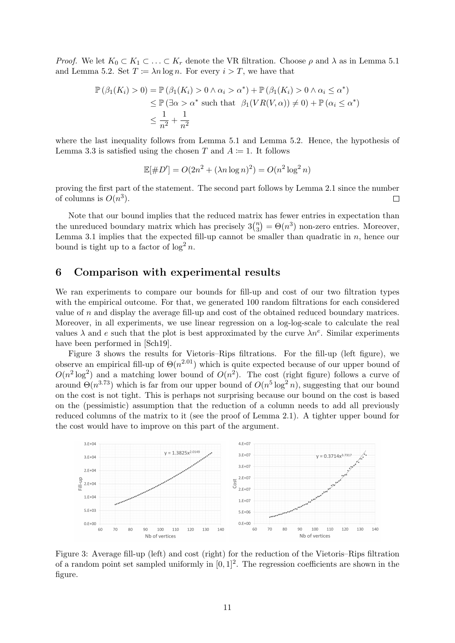*Proof.* We let  $K_0 \subset K_1 \subset \ldots \subset K_r$  denote the VR filtration. Choose  $\rho$  and  $\lambda$  as in [Lemma 5.1](#page-8-1) and [Lemma 5.2.](#page-8-2) Set  $T := \lambda n \log n$ . For every  $i > T$ , we have that

$$
\mathbb{P}(\beta_1(K_i) > 0) = \mathbb{P}(\beta_1(K_i) > 0 \land \alpha_i > \alpha^*) + \mathbb{P}(\beta_1(K_i) > 0 \land \alpha_i \le \alpha^*)
$$
  
\n
$$
\le \mathbb{P}(\exists \alpha > \alpha^* \text{ such that } \beta_1(VR(V, \alpha)) \neq 0) + \mathbb{P}(\alpha_i \le \alpha^*)
$$
  
\n
$$
\le \frac{1}{n^2} + \frac{1}{n^2}
$$

where the last inequality follows from [Lemma 5.1](#page-8-1) and [Lemma 5.2.](#page-8-2) Hence, the hypothesis of [Lemma 3.3](#page-6-3) is satisfied using the chosen T and  $A \coloneqq 1$ . It follows

$$
\mathbb{E}[\#D'] = O(2n^2 + (\lambda n \log n)^2) = O(n^2 \log^2 n)
$$

proving the first part of the statement. The second part follows by [Lemma 2.1](#page-2-1) since the number of columns is  $O(n^3)$ .  $\Box$ 

Note that our bound implies that the reduced matrix has fewer entries in expectation than the unreduced boundary matrix which has precisely  $3\binom{n}{3}$  $\binom{n}{3} = \Theta(n^3)$  non-zero entries. Moreover, [Lemma 3.1](#page-5-1) implies that the expected fill-up cannot be smaller than quadratic in  $n$ , hence our bound is tight up to a factor of  $\log^2 n$ .

### <span id="page-10-0"></span>6 Comparison with experimental results

We ran experiments to compare our bounds for fill-up and cost of our two filtration types with the empirical outcome. For that, we generated 100 random filtrations for each considered value of  $n$  and display the average fill-up and cost of the obtained reduced boundary matrices. Moreover, in all experiments, we use linear regression on a log-log-scale to calculate the real values  $\lambda$  and e such that the plot is best approximated by the curve  $\lambda n^e$ . Similar experiments have been performed in [\[Sch19\]](#page-23-9).

Figure [3](#page-10-1) shows the results for Vietoris–Rips filtrations. For the fill-up (left figure), we observe an empirical fill-up of  $\Theta(n^{2.01})$  which is quite expected because of our upper bound of  $O(n^2 \log^2)$  and a matching lower bound of  $O(n^2)$ . The cost (right figure) follows a curve of around  $\Theta(n^{3.73})$  which is far from our upper bound of  $O(n^5 \log^2 n)$ , suggesting that our bound on the cost is not tight. This is perhaps not surprising because our bound on the cost is based on the (pessimistic) assumption that the reduction of a column needs to add all previously reduced columns of the matrix to it (see the proof of Lemma [2.1\)](#page-2-1). A tighter upper bound for the cost would have to improve on this part of the argument.

<span id="page-10-1"></span>

Figure 3: Average fill-up (left) and cost (right) for the reduction of the Vietoris–Rips filtration of a random point set sampled uniformly in  $[0, 1]^2$ . The regression coefficients are shown in the figure.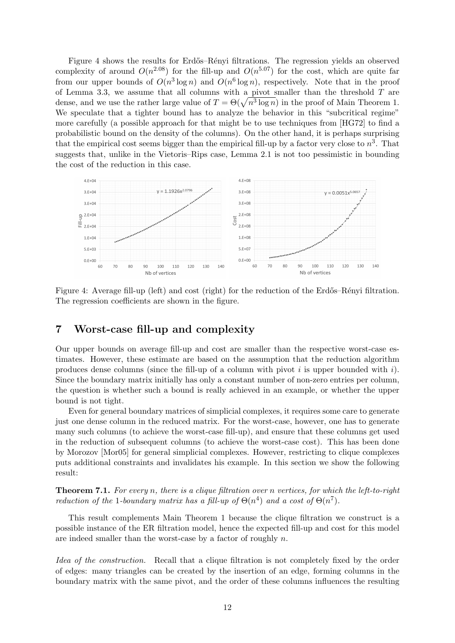Figure [4](#page-11-1) shows the results for Erdős–Rényi filtrations. The regression yields an observed complexity of around  $O(n^{2.08})$  for the fill-up and  $O(n^{5.07})$  for the cost, which are quite far from our upper bounds of  $O(n^3 \log n)$  and  $O(n^6 \log n)$ , respectively. Note that in the proof of Lemma [3.3,](#page-6-3) we assume that all columns with a pivot smaller than the threshold  $T$  are dense, and we use the rather large value of  $T = \Theta(\sqrt{n^3 \log n})$  in the proof of Main Theorem [1.](#page-7-2) We speculate that a tighter bound has to analyze the behavior in this "subcritical regime" more carefully (a possible approach for that might be to use techniques from [\[HG72\]](#page-22-9) to find a probabilistic bound on the density of the columns). On the other hand, it is perhaps surprising that the empirical cost seems bigger than the empirical fill-up by a factor very close to  $n^3$ . That suggests that, unlike in the Vietoris–Rips case, Lemma [2.1](#page-2-1) is not too pessimistic in bounding the cost of the reduction in this case.

<span id="page-11-1"></span>

Figure 4: Average fill-up (left) and cost (right) for the reduction of the Erdős–Rényi filtration. The regression coefficients are shown in the figure.

# <span id="page-11-0"></span>7 Worst-case fill-up and complexity

Our upper bounds on average fill-up and cost are smaller than the respective worst-case estimates. However, these estimate are based on the assumption that the reduction algorithm produces dense columns (since the fill-up of a column with pivot i is upper bounded with i). Since the boundary matrix initially has only a constant number of non-zero entries per column, the question is whether such a bound is really achieved in an example, or whether the upper bound is not tight.

Even for general boundary matrices of simplicial complexes, it requires some care to generate just one dense column in the reduced matrix. For the worst-case, however, one has to generate many such columns (to achieve the worst-case fill-up), and ensure that these columns get used in the reduction of subsequent columns (to achieve the worst-case cost). This has been done by Morozov [\[Mor05\]](#page-23-0) for general simplicial complexes. However, restricting to clique complexes puts additional constraints and invalidates his example. In this section we show the following result:

<span id="page-11-2"></span>**Theorem 7.1.** For every n, there is a clique filtration over n vertices, for which the left-to-right reduction of the 1-boundary matrix has a fill-up of  $\Theta(n^4)$  and a cost of  $\Theta(n^7)$ .

This result complements Main Theorem [1](#page-7-2) because the clique filtration we construct is a possible instance of the ER filtration model, hence the expected fill-up and cost for this model are indeed smaller than the worst-case by a factor of roughly  $n$ .

Idea of the construction. Recall that a clique filtration is not completely fixed by the order of edges: many triangles can be created by the insertion of an edge, forming columns in the boundary matrix with the same pivot, and the order of these columns influences the resulting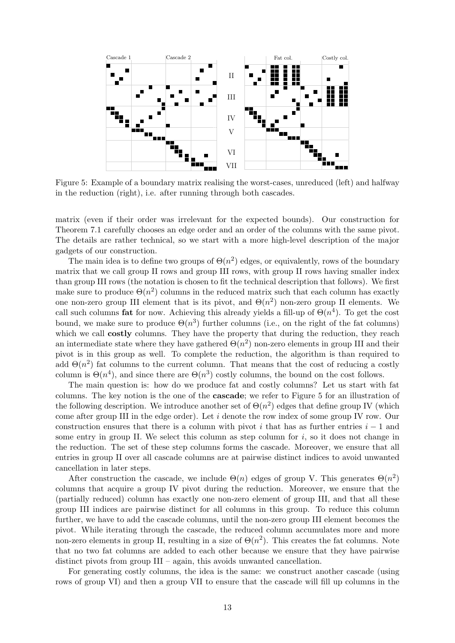<span id="page-12-0"></span>

Figure 5: Example of a boundary matrix realising the worst-cases, unreduced (left) and halfway in the reduction (right), i.e. after running through both cascades.

matrix (even if their order was irrelevant for the expected bounds). Our construction for Theorem [7.1](#page-11-2) carefully chooses an edge order and an order of the columns with the same pivot. The details are rather technical, so we start with a more high-level description of the major gadgets of our construction.

The main idea is to define two groups of  $\Theta(n^2)$  edges, or equivalently, rows of the boundary matrix that we call group II rows and group III rows, with group II rows having smaller index than group III rows (the notation is chosen to fit the technical description that follows). We first make sure to produce  $\Theta(n^2)$  columns in the reduced matrix such that each column has exactly one non-zero group III element that is its pivot, and  $\Theta(n^2)$  non-zero group II elements. We call such columns **fat** for now. Achieving this already yields a fill-up of  $\Theta(n^4)$ . To get the cost bound, we make sure to produce  $\Theta(n^3)$  further columns (i.e., on the right of the fat columns) which we call **costly** columns. They have the property that during the reduction, they reach an intermediate state where they have gathered  $\Theta(n^2)$  non-zero elements in group III and their pivot is in this group as well. To complete the reduction, the algorithm is than required to add  $\Theta(n^2)$  fat columns to the current column. That means that the cost of reducing a costly column is  $\Theta(n^4)$ , and since there are  $\Theta(n^3)$  costly columns, the bound on the cost follows.

The main question is: how do we produce fat and costly columns? Let us start with fat columns. The key notion is the one of the cascade; we refer to Figure [5](#page-12-0) for an illustration of the following description. We introduce another set of  $\Theta(n^2)$  edges that define group IV (which come after group III in the edge order). Let i denote the row index of some group IV row. Our construction ensures that there is a column with pivot i that has as further entries  $i - 1$  and some entry in group II. We select this column as step column for  $i$ , so it does not change in the reduction. The set of these step columns forms the cascade. Moreover, we ensure that all entries in group II over all cascade columns are at pairwise distinct indices to avoid unwanted cancellation in later steps.

After construction the cascade, we include  $\Theta(n)$  edges of group V. This generates  $\Theta(n^2)$ columns that acquire a group IV pivot during the reduction. Moreover, we ensure that the (partially reduced) column has exactly one non-zero element of group III, and that all these group III indices are pairwise distinct for all columns in this group. To reduce this column further, we have to add the cascade columns, until the non-zero group III element becomes the pivot. While iterating through the cascade, the reduced column accumulates more and more non-zero elements in group II, resulting in a size of  $\Theta(n^2)$ . This creates the fat columns. Note that no two fat columns are added to each other because we ensure that they have pairwise distinct pivots from group III – again, this avoids unwanted cancellation.

For generating costly columns, the idea is the same: we construct another cascade (using rows of group VI) and then a group VII to ensure that the cascade will fill up columns in the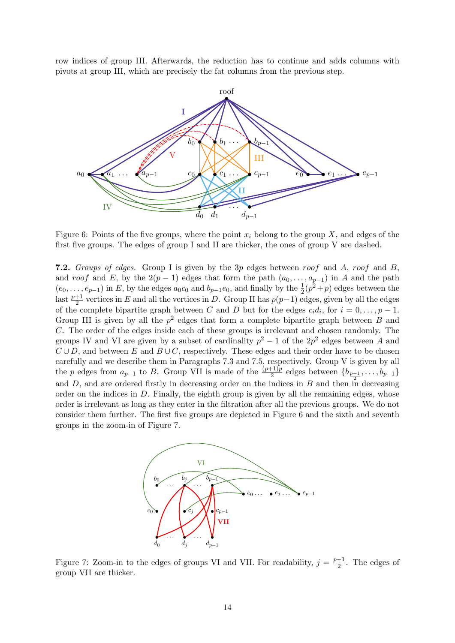row indices of group III. Afterwards, the reduction has to continue and adds columns with pivots at group III, which are precisely the fat columns from the previous step.

<span id="page-13-1"></span>

Figure 6: Points of the five groups, where the point  $x_i$  belong to the group X, and edges of the first five groups. The edges of group I and II are thicker, the ones of group V are dashed.

**7.2.** Groups of edges. Group I is given by the 3p edges between roof and A, roof and B. and roof and E, by the  $2(p-1)$  edges that form the path  $(a_0, \ldots, a_{p-1})$  in A and the path  $(e_0, \ldots, e_{p-1})$  in E, by the edges  $a_0c_0$  and  $b_{p-1}e_0$ , and finally by the  $\frac{1}{2}(p^2+p)$  edges between the last  $\frac{p+1}{2}$  vertices in E and all the vertices in D. Group II has  $p(p-1)$  edges, given by all the edges of the complete bipartite graph between C and D but for the edges  $c_i d_i$ , for  $i = 0, \ldots, p - 1$ . Group III is given by all the  $p^2$  edges that form a complete bipartite graph between B and C. The order of the edges inside each of these groups is irrelevant and chosen randomly. The groups IV and VI are given by a subset of cardinality  $p^2 - 1$  of the  $2p^2$  edges between A and  $C \cup D$ , and between E and  $B \cup C$ , respectively. These edges and their order have to be chosen carefully and we describe them in Paragraphs [7.3](#page-13-0) and [7.5,](#page-14-0) respectively. Group V is given by all the p edges from  $a_{p-1}$  to B. Group VII is made of the  $\frac{(p+1)p}{2}$  edges between  $\{b_{\frac{p-1}{2}}, \ldots, b_{p-1}\}$ and  $D$ , and are ordered firstly in decreasing order on the indices in  $B$  and then in decreasing order on the indices in  $D$ . Finally, the eighth group is given by all the remaining edges, whose order is irrelevant as long as they enter in the filtration after all the previous groups. We do not consider them further. The first five groups are depicted in Figure [6](#page-13-1) and the sixth and seventh groups in the zoom-in of Figure [7.](#page-13-2)

<span id="page-13-2"></span>

<span id="page-13-0"></span>Figure 7: Zoom-in to the edges of groups VI and VII. For readability,  $j = \frac{p-1}{2}$  $\frac{-1}{2}$ . The edges of group VII are thicker.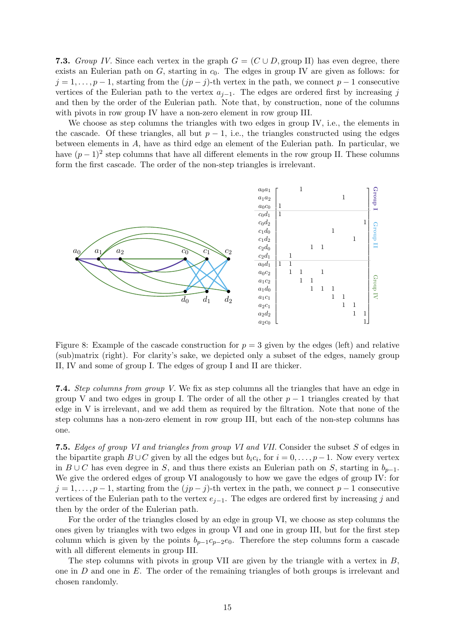7.3. Group IV. Since each vertex in the graph  $G = (C \cup D, \text{group II})$  has even degree, there exists an Eulerian path on  $G$ , starting in  $c_0$ . The edges in group IV are given as follows: for  $j = 1, \ldots, p - 1$ , starting from the  $(jp - j)$ -th vertex in the path, we connect  $p - 1$  consecutive vertices of the Eulerian path to the vertex  $a_{i-1}$ . The edges are ordered first by increasing j and then by the order of the Eulerian path. Note that, by construction, none of the columns with pivots in row group IV have a non-zero element in row group III.

We choose as step columns the triangles with two edges in group IV, i.e., the elements in the cascade. Of these triangles, all but  $p-1$ , i.e., the triangles constructed using the edges between elements in A, have as third edge an element of the Eulerian path. In particular, we have  $(p-1)^2$  step columns that have all different elements in the row group II. These columns form the first cascade. The order of the non-step triangles is irrelevant.



Figure 8: Example of the cascade construction for  $p = 3$  given by the edges (left) and relative (sub)matrix (right). For clarity's sake, we depicted only a subset of the edges, namely group II, IV and some of group I. The edges of group I and II are thicker.

7.4. Step columns from group V. We fix as step columns all the triangles that have an edge in group V and two edges in group I. The order of all the other  $p-1$  triangles created by that edge in V is irrelevant, and we add them as required by the filtration. Note that none of the step columns has a non-zero element in row group III, but each of the non-step columns has one.

<span id="page-14-0"></span>7.5. Edges of group VI and triangles from group VI and VII. Consider the subset S of edges in the bipartite graph  $B\cup C$  given by all the edges but  $b_i c_i$ , for  $i=0,\ldots,p-1$ . Now every vertex in  $B \cup C$  has even degree in S, and thus there exists an Eulerian path on S, starting in  $b_{p-1}$ . We give the ordered edges of group VI analogously to how we gave the edges of group IV: for  $j = 1, \ldots, p - 1$ , starting from the  $(jp - j)$ -th vertex in the path, we connect  $p - 1$  consecutive vertices of the Eulerian path to the vertex  $e_{i-1}$ . The edges are ordered first by increasing j and then by the order of the Eulerian path.

For the order of the triangles closed by an edge in group VI, we choose as step columns the ones given by triangles with two edges in group VI and one in group III, but for the first step column which is given by the points  $b_{p-1}c_{p-2}e_0$ . Therefore the step columns form a cascade with all different elements in group III.

The step columns with pivots in group VII are given by the triangle with a vertex in  $B$ . one in  $D$  and one in  $E$ . The order of the remaining triangles of both groups is irrelevant and chosen randomly.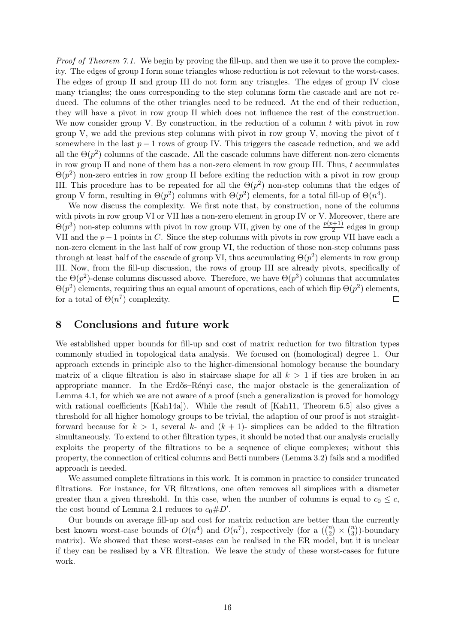*Proof of Theorem [7.1.](#page-11-2)* We begin by proving the fill-up, and then we use it to prove the complexity. The edges of group I form some triangles whose reduction is not relevant to the worst-cases. The edges of group II and group III do not form any triangles. The edges of group IV close many triangles; the ones corresponding to the step columns form the cascade and are not reduced. The columns of the other triangles need to be reduced. At the end of their reduction, they will have a pivot in row group II which does not influence the rest of the construction. We now consider group V. By construction, in the reduction of a column  $t$  with pivot in row group V, we add the previous step columns with pivot in row group V, moving the pivot of  $t$ somewhere in the last  $p-1$  rows of group IV. This triggers the cascade reduction, and we add all the  $\Theta(p^2)$  columns of the cascade. All the cascade columns have different non-zero elements in row group II and none of them has a non-zero element in row group III. Thus, t accumulates  $\Theta(p^2)$  non-zero entries in row group II before exiting the reduction with a pivot in row group III. This procedure has to be repeated for all the  $\Theta(p^2)$  non-step columns that the edges of group V form, resulting in  $\Theta(p^2)$  columns with  $\Theta(p^2)$  elements, for a total fill-up of  $\Theta(n^4)$ .

We now discuss the complexity. We first note that, by construction, none of the columns with pivots in row group VI or VII has a non-zero element in group IV or V. Moreover, there are  $\Theta(p^3)$  non-step columns with pivot in row group VII, given by one of the  $\frac{p(p+1)}{2}$  edges in group VII and the  $p-1$  points in C. Since the step columns with pivots in row group VII have each a non-zero element in the last half of row group VI, the reduction of those non-step columns pass through at least half of the cascade of group VI, thus accumulating  $\Theta(p^2)$  elements in row group III. Now, from the fill-up discussion, the rows of group III are already pivots, specifically of the  $\Theta(p^2)$ -dense columns discussed above. Therefore, we have  $\Theta(p^3)$  columns that accumulates  $\Theta(p^2)$  elements, requiring thus an equal amount of operations, each of which flip  $\Theta(p^2)$  elements, for a total of  $\Theta(n^7)$  complexity.  $\Box$ 

#### <span id="page-15-0"></span>8 Conclusions and future work

We established upper bounds for fill-up and cost of matrix reduction for two filtration types commonly studied in topological data analysis. We focused on (homological) degree 1. Our approach extends in principle also to the higher-dimensional homology because the boundary matrix of a clique filtration is also in staircase shape for all  $k > 1$  if ties are broken in an appropriate manner. In the Erdős–Rényi case, the major obstacle is the generalization of Lemma [4.1,](#page-7-0) for which we are not aware of a proof (such a generalization is proved for homology with rational coefficients [\[Kah14a\]](#page-23-14)). While the result of [\[Kah11,](#page-23-2) Theorem 6.5] also gives a threshold for all higher homology groups to be trivial, the adaption of our proof is not straightforward because for  $k > 1$ , several  $k$ - and  $(k + 1)$ - simplices can be added to the filtration simultaneously. To extend to other filtration types, it should be noted that our analysis crucially exploits the property of the filtrations to be a sequence of clique complexes; without this property, the connection of critical columns and Betti numbers (Lemma [3.2\)](#page-5-2) fails and a modified approach is needed.

We assumed complete filtrations in this work. It is common in practice to consider truncated filtrations. For instance, for VR filtrations, one often removes all simplices with a diameter greater than a given threshold. In this case, when the number of columns is equal to  $c_0 \leq c$ , the cost bound of Lemma [2.1](#page-2-1) reduces to  $c_0 \# D'$ .

Our bounds on average fill-up and cost for matrix reduction are better than the currently best known worst-case bounds of  $O(n^4)$  and  $O(n^7)$ , respectively (for a  $\binom{n}{2}$  $\binom{n}{2} \times \binom{n}{3}$  $\binom{n}{3}$ )-boundary matrix). We showed that these worst-cases can be realised in the ER model, but it is unclear if they can be realised by a VR filtration. We leave the study of these worst-cases for future work.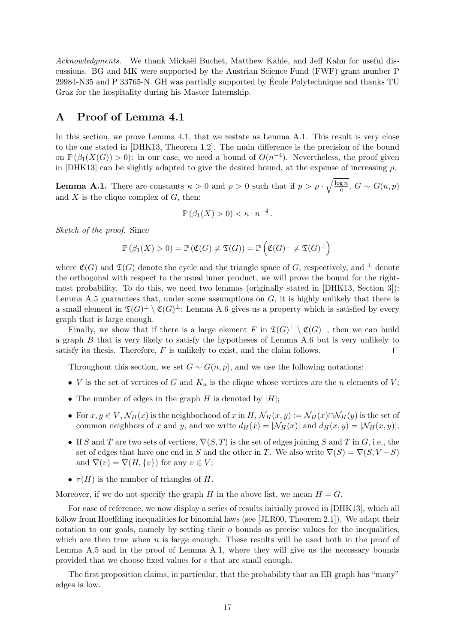Acknowledgments. We thank Mickaël Buchet, Matthew Kahle, and Jeff Kahn for useful discussions. BG and MK were supported by the Austrian Science Fund (FWF) grant number P 29984-N35 and P 33765-N. GH was partially supported by Ecole Polytechnique and thanks TU ´ Graz for the hospitality during his Master Internship.

## <span id="page-16-0"></span>A Proof of Lemma [4.1](#page-7-0)

In this section, we prove [Lemma 4.1,](#page-7-0) that we restate as [Lemma A.1.](#page-16-1) This result is very close to the one stated in [\[DHK13,](#page-22-2) Theorem 1.2]. The main difference is the precision of the bound on  $\mathbb{P}(\beta_1(X(G)) > 0)$ : in our case, we need a bound of  $O(n^{-4})$ . Nevertheless, the proof given in [\[DHK13\]](#page-22-2) can be slightly adapted to give the desired bound, at the expense of increasing  $\rho$ .

<span id="page-16-1"></span>**Lemma A.1.** There are constants  $\kappa > 0$  and  $\rho > 0$  such that if  $p > \rho \cdot \sqrt{\frac{\log n}{n}}$  $\frac{\log n}{n}$ ,  $G \sim G(n, p)$ and  $X$  is the clique complex of  $G$ , then:

$$
\mathbb{P}\left(\beta_1(X) > 0\right) < \kappa \cdot n^{-4}.
$$

Sketch of the proof. Since

$$
\mathbb{P}\left(\beta_1(X) > 0\right) = \mathbb{P}\left(\mathfrak{C}(G) \neq \mathfrak{T}(G)\right) = \mathbb{P}\left(\mathfrak{C}(G)^{\perp} \neq \mathfrak{T}(G)^{\perp}\right)
$$

where  $\mathfrak{C}(G)$  and  $\mathfrak{T}(G)$  denote the cycle and the triangle space of G, respectively, and <sup>⊥</sup> denote the orthogonal with respect to the usual inner product, we will prove the bound for the rightmost probability. To do this, we need two lemmas (originally stated in [\[DHK13,](#page-22-2) Section 3]): [Lemma A.5](#page-18-0) guarantees that, under some assumptions on  $G$ , it is highly unlikely that there is a small element in  $\mathfrak{T}(G)^{\perp} \setminus \mathfrak{C}(G)^{\perp}$ ; [Lemma A.6](#page-18-1) gives us a property which is satisfied by every graph that is large enough.

Finally, we show that if there is a large element F in  $\mathfrak{T}(G)^{\perp} \setminus \mathfrak{C}(G)^{\perp}$ , then we can build a graph B that is very likely to satisfy the hypotheses of [Lemma A.6](#page-18-1) but is very unlikely to satisfy its thesis. Therefore,  $F$  is unlikely to exist, and the claim follows.  $\Box$ 

Throughout this section, we set  $G \sim G(n, p)$ , and we use the following notations:

- V is the set of vertices of G and  $K_n$  is the clique whose vertices are the n elements of V;
- The number of edges in the graph  $H$  is denoted by  $|H|$ :
- For  $x, y \in V$ ,  $\mathcal{N}_H(x)$  is the neighborhood of x in  $H$ ,  $\mathcal{N}_H(x, y) := \mathcal{N}_H(x) \cap \mathcal{N}_H(y)$  is the set of common neighbors of x and y, and we write  $d_H(x) = |\mathcal{N}_H(x)|$  and  $d_H(x, y) = |\mathcal{N}_H(x, y)|$ ;
- If S and T are two sets of vertices,  $\nabla(S,T)$  is the set of edges joining S and T in G, i.e., the set of edges that have one end in S and the other in T. We also write  $\nabla(S) = \nabla(S, V - S)$ and  $\nabla(v) = \nabla(H, \{v\})$  for any  $v \in V$ ;
- $\tau(H)$  is the number of triangles of H.

Moreover, if we do not specify the graph H in the above list, we mean  $H = G$ .

For ease of reference, we now display a series of results initially proved in [\[DHK13\]](#page-22-2), which all follow from Hoeffding inequalities for binomial laws (see [\[JLR00,](#page-23-13) Theorem 2.1]). We adapt their notation to our goals, namely by setting their  $o$  bounds as precise values for the inequalities, which are then true when n is large enough. These results will be used both in the proof of [Lemma A.5](#page-18-0) and in the proof of [Lemma A.1,](#page-16-1) where they will give us the necessary bounds provided that we choose fixed values for  $\epsilon$  that are small enough.

<span id="page-16-2"></span>The first proposition claims, in particular, that the probability that an ER graph has "many" edges is low.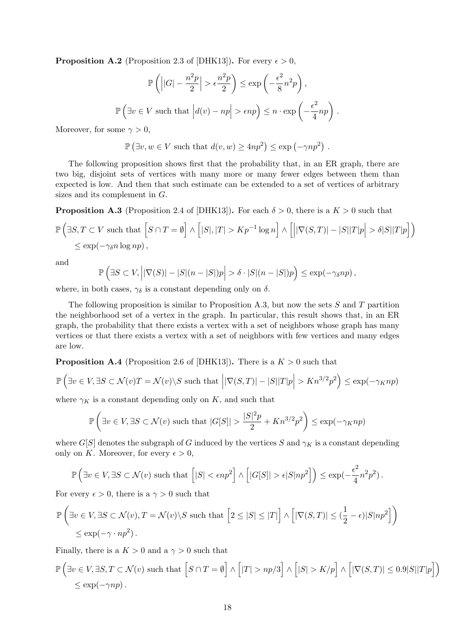**Proposition A.2** (Proposition 2.3 of [\[DHK13\]](#page-22-2)). For every  $\epsilon > 0$ ,

$$
\mathbb{P}\left(\left||G| - \frac{n^2p}{2}\right| > \epsilon \frac{n^2p}{2}\right) \le \exp\left(-\frac{\epsilon^2}{8}n^2p\right),
$$
  

$$
\mathbb{P}\left(\exists v \in V \text{ such that } \left|d(v) - np\right| > \epsilon np\right) \le n \cdot \exp\left(-\frac{\epsilon^2}{4}np\right).
$$

Moreover, for some  $\gamma > 0$ ,

$$
\mathbb{P}(\exists v, w \in V \text{ such that } d(v, w) \ge 4np^2) \le \exp(-\gamma np^2) .
$$

The following proposition shows first that the probability that, in an ER graph, there are two big, disjoint sets of vertices with many more or many fewer edges between them than expected is low. And then that such estimate can be extended to a set of vertices of arbitrary sizes and its complement in G.

<span id="page-17-0"></span>**Proposition A.3** (Proposition 2.4 of [\[DHK13\]](#page-22-2)). For each  $\delta > 0$ , there is a  $K > 0$  such that

$$
\mathbb{P}\left(\exists S, T \subset V \text{ such that }\left[S \cap T = \emptyset\right] \land \left[|S|, |T| > K p^{-1} \log n\right] \land \left[\left||\nabla(S, T)| - |S||T|p\right| > \delta|S||T|p\right]\right) \le \exp(-\gamma_{\delta} n \log np),
$$

and

$$
\mathbb{P}\left(\exists S\subset V, \left| |\nabla(S)|-|S|(n-|S|)p\right|>\delta\cdot|S|(n-|S|)p\right)\leq \exp(-\gamma_{\delta}np),
$$

where, in both cases,  $\gamma_{\delta}$  is a constant depending only on  $\delta$ .

The following proposition is similar to [Proposition A.3,](#page-17-0) but now the sets  $S$  and  $T$  partition the neighborhood set of a vertex in the graph. In particular, this result shows that, in an ER graph, the probability that there exists a vertex with a set of neighbors whose graph has many vertices or that there exists a vertex with a set of neighbors with few vertices and many edges are low.

<span id="page-17-1"></span>**Proposition A.4** (Proposition 2.6 of [\[DHK13\]](#page-22-2)). There is a  $K > 0$  such that

$$
\mathbb{P}\left(\exists v \in V, \exists S \subset \mathcal{N}(v)T = \mathcal{N}(v) \setminus S \text{ such that } \left| |\nabla(S,T)| - |S||T|p \right| > Kn^{3/2}p^2 \right) \le \exp(-\gamma_K np)
$$

where  $\gamma_K$  is a constant depending only on K, and such that

$$
\mathbb{P}\left(\exists v \in V, \exists S \subset \mathcal{N}(v) \text{ such that } |G[S]| > \frac{|S|^2 p}{2} + Kn^{3/2} p^2\right) \le \exp(-\gamma_K np)
$$

where  $G[S]$  denotes the subgraph of G induced by the vertices S and  $\gamma_K$  is a constant depending only on K. Moreover, for every  $\epsilon > 0$ ,

$$
\mathbb{P}\left(\exists v \in V, \exists S \subset \mathcal{N}(v) \text{ such that }\left[|S| < \epsilon n p^2\right] \wedge \left[|G[S]| > \epsilon |S|np^2\right]\right) \le \exp\left(-\frac{\epsilon^2}{4}n^2p^2\right).
$$

For every  $\epsilon > 0$ , there is a  $\gamma > 0$  such that

$$
\mathbb{P}\left(\exists v \in V, \exists S \subset \mathcal{N}(v), T = \mathcal{N}(v) \setminus S \text{ such that } \left[2 \leq |S| \leq |T|\right] \wedge \left[|\nabla(S, T)| \leq (\frac{1}{2} - \epsilon)|S|np^2\right]\right) \leq \exp(-\gamma \cdot np^2).
$$

Finally, there is a  $K > 0$  and a  $\gamma > 0$  such that

$$
\mathbb{P}\left(\exists v \in V, \exists S, T \subset \mathcal{N}(v) \text{ such that } \left[S \cap T = \emptyset\right] \land \left[|T| > np/3\right] \land \left[|S| > K/p\right] \land \left[|\nabla(S, T)| \leq 0.9|S||T|p\right]\right) \leq \exp(-\gamma np).
$$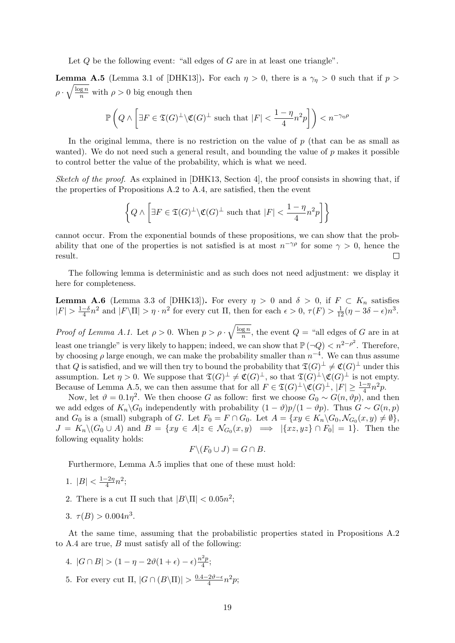<span id="page-18-2"></span>Let  $Q$  be the following event: "all edges of  $G$  are in at least one triangle".

<span id="page-18-0"></span>**Lemma A.5** (Lemma 3.1 of [\[DHK13\]](#page-22-2)). For each  $\eta > 0$ , there is a  $\gamma_{\eta} > 0$  such that if  $p >$  $\rho \cdot \sqrt{\frac{\log n}{n}}$  with  $\rho > 0$  big enough then

$$
\mathbb{P}\left(Q \wedge \left[\exists F \in \mathfrak{T}(G)^{\perp} \backslash \mathfrak{C}(G)^{\perp} \text{ such that } |F| < \frac{1-\eta}{4}n^2p\right]\right) < n^{-\gamma_{\eta}\rho}
$$

In the original lemma, there is no restriction on the value of  $p$  (that can be as small as wanted). We do not need such a general result, and bounding the value of  $p$  makes it possible to control better the value of the probability, which is what we need.

Sketch of the proof. As explained in [\[DHK13,](#page-22-2) Section 4], the proof consists in showing that, if the properties of [Propositions A.2](#page-16-2) to [A.4,](#page-17-1) are satisfied, then the event

$$
\left\{Q \wedge \left[\exists F \in \mathfrak{T}(G)^{\perp} \backslash \mathfrak{C}(G)^{\perp} \text{ such that } |F| < \frac{1 - \eta}{4} n^2 p\right]\right\}
$$

cannot occur. From the exponential bounds of these propositions, we can show that the probability that one of the properties is not satisfied is at most  $n^{-\gamma\rho}$  for some  $\gamma > 0$ , hence the result.  $\Box$ 

The following lemma is deterministic and as such does not need adjustment: we display it here for completeness.

<span id="page-18-1"></span>**Lemma A.6** (Lemma 3.3 of [\[DHK13\]](#page-22-2)). For every  $\eta > 0$  and  $\delta > 0$ , if  $F \subset K_n$  satisfies  $|F| > \frac{1-\delta}{4}$  $\frac{-\delta}{4}n^2$  and  $|F\setminus\Pi|>\eta\cdot n^2$  for every cut  $\Pi$ , then for each  $\epsilon>0$ ,  $\tau(F)>\frac{1}{12}(\eta-3\delta-\epsilon)n^3$ .

*Proof of [Lemma A.1.](#page-16-1)* Let  $\rho > 0$ . When  $p > \rho \cdot \sqrt{\frac{\log n}{n}}$  $\frac{q}{n}$ , the event  $Q =$  $Q =$  "all edges of G are in at least one triangle" is very likely to happen; indeed, we can show that  $\mathbb{P}(\neg Q) < n^{2-\rho^2}$  $\mathbb{P}(\neg Q) < n^{2-\rho^2}$  $\mathbb{P}(\neg Q) < n^{2-\rho^2}$ . Therefore, by choosing  $\rho$  large enough, we can make the probability smaller than  $n^{-4}$ . We can thus assume that [Q](#page-18-2) is satisfied, and we will then try to bound the probability that  $\mathfrak{T}(G)^{\perp} \neq \mathfrak{C}(G)^{\perp}$  under this assumption. Let  $\eta > 0$ . We suppose that  $\mathfrak{T}(G)^{\perp} \neq \mathfrak{C}(G)^{\perp}$ , so that  $\mathfrak{T}(G)^{\perp} \backslash \mathfrak{C}(G)^{\perp}$  is not empty. Because of [Lemma A.5,](#page-18-0) we can then assume that for all  $F \in \mathfrak{T}(G)^{\perp} \setminus \mathfrak{C}(G)^{\perp}$ ,  $|F| \geq \frac{1-\eta}{4}n^2p$ .

Now, let  $\vartheta = 0.1\eta^2$ . We then choose G as follow: first we choose  $G_0 \sim G(n, \vartheta p)$ , and then we add edges of  $K_n\backslash G_0$  independently with probability  $(1 - \vartheta)p/(1 - \vartheta p)$ . Thus  $G \sim G(n, p)$ and  $G_0$  is a (small) subgraph of G. Let  $F_0 = F \cap G_0$ . Let  $A = \{xy \in K_n \backslash G_0, \mathcal{N}_{G_0}(x, y) \neq \emptyset\},\$  $J = K_n \setminus (G_0 \cup A)$  and  $B = \{xy \in A | z \in \mathcal{N}_{G_0}(x, y) \implies |\{xz, yz\} \cap F_0| = 1\}.$  Then the following equality holds:

$$
F \backslash (F_0 \cup J) = G \cap B.
$$

Furthermore, [Lemma A.5](#page-18-0) implies that one of these must hold:

- 1.  $|B| < \frac{1-2\eta}{4}$  $\frac{-2\eta}{4}n^2;$
- 2. There is a cut  $\Pi$  such that  $|B\setminus\Pi| < 0.05n^2$ ;
- 3.  $\tau(B) > 0.004n^3$ .

At the same time, assuming that the probabilistic properties stated in [Propositions A.2](#page-16-2) to [A.4](#page-17-1) are true, B must satisfy all of the following:

- 4.  $|G \cap B| > (1 \eta 2\vartheta(1 + \epsilon) \epsilon) \frac{n^2 p}{4}$  $\frac{z p}{4}$ ;
- 5. For every cut  $\Pi$ ,  $|G \cap (B \setminus \Pi)| > \frac{0.4 2\vartheta \epsilon}{4}$  $\frac{2\vartheta-\epsilon}{4}n^2p;$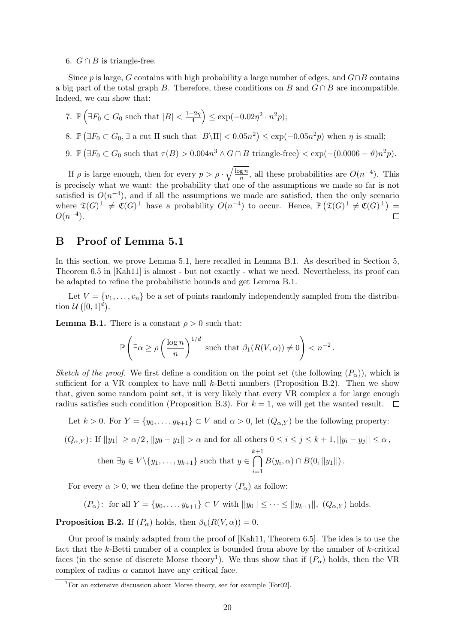6.  $G \cap B$  is triangle-free.

Since p is large, G contains with high probability a large number of edges, and  $G \cap B$  contains a big part of the total graph B. Therefore, these conditions on B and  $G \cap B$  are incompatible. Indeed, we can show that:

- 7.  $\mathbb{P}\left(\exists F_0 \subset G_0 \text{ such that } |B| < \frac{1-2\eta}{4}\right)$  $\left(\frac{-2\eta}{4}\right) \le \exp(-0.02\eta^2 \cdot n^2p);$ 8.  $\mathbb{P}(\exists F_0 \subset G_0, \exists \text{ a cut } \Pi \text{ such that } |B \setminus \Pi| < 0.05n^2) \le \exp(-0.05n^2p)$  when  $\eta$  is small;
- 9.  $\mathbb{P}(\exists F_0 \subset G_0 \text{ such that } \tau(B) > 0.004n^3 \land G \cap B \text{ triangle-free}) < \exp(-(0.0006 \vartheta)n^2p).$

If  $\rho$  is large enough, then for every  $p > \rho \cdot \sqrt{\frac{\log n}{n}}$  $\frac{g n}{n}$ , all these probabilities are  $O(n^{-4})$ . This is precisely what we want: the probability that one of the assumptions we made so far is not satisfied is  $O(n^{-4})$ , and if all the assumptions we made are satisfied, then the only scenario where  $\mathfrak{T}(G)^{\perp} \neq \mathfrak{C}(G)^{\perp}$  have a probability  $O(n^{-4})$  to occur. Hence,  $\mathbb{P}(\mathfrak{T}(G)^{\perp} \neq \mathfrak{C}(G)^{\perp}) =$  $O(n^{-4})$ .  $\Box$ 

## <span id="page-19-0"></span>B Proof of Lemma [5.1](#page-8-1)

In this section, we prove [Lemma 5.1,](#page-8-1) here recalled in [Lemma B.1.](#page-19-1) As described in [Section 5,](#page-8-0) Theorem 6.5 in [\[Kah11\]](#page-23-2) is almost - but not exactly - what we need. Nevertheless, its proof can be adapted to refine the probabilistic bounds and get [Lemma B.1.](#page-19-1)

Let  $V = \{v_1, \ldots, v_n\}$  be a set of points randomly independently sampled from the distribution  $\mathcal{U}\left([0,1]^d\right)$ .

<span id="page-19-1"></span>**Lemma B.1.** There is a constant  $\rho > 0$  such that:

$$
\mathbb{P}\left(\exists \alpha \ge \rho \left(\frac{\log n}{n}\right)^{1/d} \text{ such that } \beta_1(R(V,\alpha)) \ne 0\right) < n^{-2}.
$$

Sketch of the proof. We first define a condition on the point set (the following  $(P_{\alpha})$  $(P_{\alpha})$  $(P_{\alpha})$ ), which is sufficient for a VR complex to have null k-Betti numbers [\(Proposition B.2\)](#page-19-3). Then we show that, given some random point set, it is very likely that every VR complex a for large enough radius satisfies such condition [\(Proposition B.3\)](#page-20-0). For  $k = 1$ , we will get the wanted result.  $\Box$ 

Let  $k > 0$ . For  $Y = \{y_0, \ldots, y_{k+1}\} \subset V$  and  $\alpha > 0$ , let  $(Q_{\alpha,Y})$  be the following property:

<span id="page-19-4"></span>
$$
(Q_{\alpha,Y}): \text{ If } ||y_1|| \ge \alpha/2, ||y_0 - y_1|| > \alpha \text{ and for all others } 0 \le i \le j \le k+1, ||y_i - y_j|| \le \alpha,
$$
  
then  $\exists y \in V \setminus \{y_1, \dots, y_{k+1}\}\text{ such that } y \in \bigcap_{i=1}^{k+1} B(y_i, \alpha) \cap B(0, ||y_1||).$ 

For every  $\alpha > 0$ , we then define the property  $(P_{\alpha})$  as follow:

<span id="page-19-2"></span>
$$
(P_{\alpha})
$$
: for all  $Y = \{y_0, ..., y_{k+1}\} \subset V$  with  $||y_0|| \leq ... \leq ||y_{k+1}||$ ,  $(Q_{\alpha,Y})$  holds.

<span id="page-19-3"></span>**[P](#page-19-2)roposition B.2.** If  $(P_{\alpha})$  holds, then  $\beta_k(R(V,\alpha))=0$ .

Our proof is mainly adapted from the proof of [\[Kah11,](#page-23-2) Theorem 6.5]. The idea is to use the fact that the  $k$ -Betti number of a complex is bounded from above by the number of  $k$ -critical faces (in the sense of discrete Morse theory<sup>[1](#page-19-5)</sup>). We thus show that if  $(P_\alpha)$  $(P_\alpha)$  $(P_\alpha)$  holds, then the VR complex of radius  $\alpha$  cannot have any critical face.

<span id="page-19-5"></span><sup>&</sup>lt;sup>1</sup>For an extensive discussion about Morse theory, see for example [\[For02\]](#page-22-14).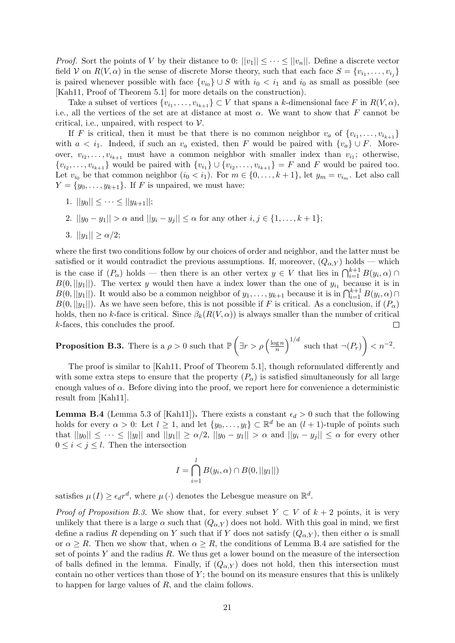*Proof.* Sort the points of V by their distance to 0:  $||v_1|| \leq \cdots \leq ||v_n||$ . Define a discrete vector field V on  $R(V, \alpha)$  in the sense of discrete Morse theory, such that each face  $S = \{v_{i_1}, \ldots, v_{i_j}\}\$ is paired whenever possible with face  ${v_{i_0}} \cup S$  with  $i_0 < i_1$  and  $i_0$  as small as possible (see [\[Kah11,](#page-23-2) Proof of Theorem 5.1] for more details on the construction).

Take a subset of vertices  $\{v_{i_1}, \ldots, v_{i_{k+1}}\} \subset V$  that spans a k-dimensional face F in  $R(V, \alpha)$ , i.e., all the vertices of the set are at distance at most  $\alpha$ . We want to show that F cannot be critical, i.e., unpaired, with respect to  $\mathcal V$ .

If F is critical, then it must be that there is no common neighbor  $v_a$  of  $\{v_{i_1}, \ldots, v_{i_{k+1}}\}$ with  $a < i_1$ . Indeed, if such an  $v_a$  existed, then F would be paired with  $\{v_a\} \cup F$ . Moreover,  $v_{i_2}, \ldots, v_{i_{k+1}}$  must have a common neighbor with smaller index than  $v_{i_1}$ ; otherwise,  $\{v_{i_2},\ldots,v_{i_{k+1}}\}$  would be paired with  $\{v_{i_1}\}\cup\{v_{i_2},\ldots,v_{i_{k+1}}\}=F$  and F would be paired too. Let  $v_{i_0}$  be that common neighbor  $(i_0 < i_1)$ . For  $m \in \{0, \ldots, k+1\}$ , let  $y_m = v_{i_m}$ . Let also call  $Y = \{y_0, \ldots, y_{k+1}\}.$  If F is unpaired, we must have:

- 1.  $||y_0|| \leq \cdots \leq ||y_{k+1}||;$
- 2.  $||y_0 y_1|| > \alpha$  and  $||y_i y_j|| \leq \alpha$  for any other  $i, j \in \{1, ..., k + 1\};$
- 3.  $||y_1|| \ge \alpha/2;$

where the first two conditions follow by our choices of order and neighbor, and the latter must be satisfied or it would contradict the previous assumptions. If, moreover,  $(Q_{\alpha,Y})$  holds — which is the case if  $(P_\alpha)$  $(P_\alpha)$  $(P_\alpha)$  holds — then there is an other vertex  $y \in V$  that lies in  $\bigcap_{i=1}^{k+1} B(y_i, \alpha) \cap$  $B(0, ||y_1||)$ . The vertex y would then have a index lower than the one of  $y_{i_1}$  because it is in  $B(0, ||y_1||)$ . It would also be a common neighbor of  $y_1, \ldots, y_{k+1}$  because it is  $\prod_{i=1}^{k+1} B(y_i, \alpha) \cap$  $B(0, ||y_1||)$ . As we have seen before, this is not possible if F is critical. As a conclusion, if  $(P_\alpha)$ holds, then no k-face is critical. Since  $\beta_k(R(V,\alpha))$  is always smaller than the number of critical k-faces, this concludes the proof.  $\Box$ 

<span id="page-20-0"></span>**Proposition B.3.** There is a 
$$
\rho > 0
$$
 such that  $\mathbb{P}\left(\exists r > \rho \left(\frac{\log n}{n}\right)^{1/d} \text{ such that } \neg(P_r)\right) < n^{-2}$ .

The proof is similar to [\[Kah11,](#page-23-2) Proof of Theorem 5.1], though reformulated differently and with some extra steps to ensure that the property  $(P_\alpha)$  $(P_\alpha)$  $(P_\alpha)$  is satisfied simultaneously for all large enough values of  $\alpha$ . Before diving into the proof, we report here for convenience a deterministic result from [\[Kah11\]](#page-23-2).

<span id="page-20-1"></span>**Lemma B.4** (Lemma 5.3 of [\[Kah11\]](#page-23-2)). There exists a constant  $\epsilon_d > 0$  such that the following holds for every  $\alpha > 0$ : Let  $l \geq 1$ , and let  $\{y_0, \ldots, y_l\} \subset \mathbb{R}^d$  be an  $(l + 1)$ -tuple of points such that  $||y_0|| \leq \cdots \leq ||y_l||$  and  $||y_1|| \geq \alpha/2$ ,  $||y_0 - y_1|| > \alpha$  and  $||y_i - y_j|| \leq \alpha$  for every other  $0 \leq i \leq j \leq l$ . Then the intersection

$$
I = \bigcap_{i=1}^{l} B(y_i, \alpha) \cap B(0, ||y_1||)
$$

satisfies  $\mu(I) \geq \epsilon_d r^d$ , where  $\mu(\cdot)$  denotes the Lebesgue measure on  $\mathbb{R}^d$ .

*Proof of [Proposition B.3.](#page-20-0)* We show that, for every subset  $Y \subset V$  of  $k + 2$  points, it is very unlikely that there is a large  $\alpha$  such that  $(Q_{\alpha,Y})$  does not hold. With this goal in mind, we first define a radius R depending on Y such that if Y does not satisfy  $(Q_{\alpha,Y})$ , then either  $\alpha$  is small or  $\alpha \geq R$ . Then we show that, when  $\alpha \geq R$ , the conditions of [Lemma B.4](#page-20-1) are satisfied for the set of points  $Y$  and the radius  $R$ . We thus get a lower bound on the measure of the intersection of balls defined in the lemma. Finally, if  $(Q_{\alpha,Y})$  does not hold, then this intersection must contain no other vertices than those of  $Y$ ; the bound on its measure ensures that this is unlikely to happen for large values of R, and the claim follows.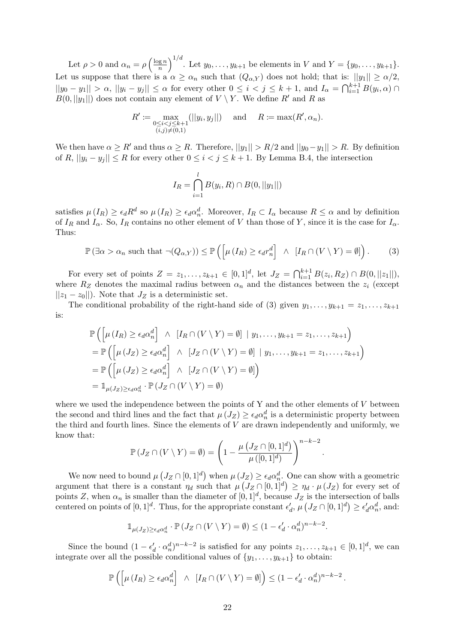Let  $\rho > 0$  and  $\alpha_n = \rho \left( \frac{\log n}{n} \right)$  $\left(\frac{\log n}{n}\right)^{1/d}$ . Let  $y_0, \ldots, y_{k+1}$  be elements in V and  $Y = \{y_0, \ldots, y_{k+1}\}.$ Let us suppose that there is a  $\alpha \geq \alpha_n$  such that  $(Q_{\alpha,Y})$  does not hold; that is:  $||y_1|| \geq \alpha/2$ ,  $||y_0 - y_1|| > \alpha$ ,  $||y_i - y_j|| \leq \alpha$  for every other  $0 \leq i < j \leq k+1$ , and  $I_\alpha = \bigcap_{i=1}^{k+1} B(y_i, \alpha)$  $B(0, ||y_1||)$  does not contain any element of  $V \setminus Y$ . We define R' and R as

$$
R' := \max_{\substack{0 \le i < j \le k+1 \\ (i,j) \neq (0,1)}} (||y_i, y_j||) \quad \text{and} \quad R := \max(R', \alpha_n).
$$

We then have  $\alpha \geq R'$  and thus  $\alpha \geq R$ . Therefore,  $||y_1|| > R/2$  and  $||y_0 - y_1|| > R$ . By definition of R,  $||y_i - y_j|| \leq R$  for every other  $0 \leq i < j \leq k+1$ . By [Lemma B.4,](#page-20-1) the intersection

$$
I_R = \bigcap_{i=1}^{l} B(y_i, R) \cap B(0, ||y_1||)
$$

satisfies  $\mu(I_R) \geq \epsilon_d R^d$  so  $\mu(I_R) \geq \epsilon_d \alpha_n^d$ . Moreover,  $I_R \subset I_\alpha$  because  $R \leq \alpha$  and by definition of  $I_R$  and  $I_\alpha$ . So,  $I_R$  contains no other element of V than those of Y, since it is the case for  $I_\alpha$ . Thus:

<span id="page-21-0"></span>
$$
\mathbb{P}\left(\exists\alpha>\alpha_n\text{ such that }\neg(Q_{\alpha,Y})\right)\leq\mathbb{P}\left(\left[\mu\left(I_R\right)\geq\epsilon_dr_n^d\right]\ \wedge\ [I_R\cap\left(V\setminus Y\right)=\emptyset]\right). \tag{3}
$$

For every set of points  $Z = z_1, ..., z_{k+1} \in [0,1]^d$ , let  $J_Z = \bigcap_{i=1}^{k+1} B(z_i, R_Z) \cap B(0, ||z_1||)$ , where  $R_Z$  denotes the maximal radius between  $\alpha_n$  and the distances between the  $z_i$  (except  $||z_1 - z_0||$ . Note that  $J_Z$  is a deterministic set.

The conditional probability of the right-hand side of [\(3\)](#page-21-0) given  $y_1, \ldots, y_{k+1} = z_1, \ldots, z_{k+1}$ is:

$$
\mathbb{P}\left(\left[\mu\left(I_R\right)\geq\epsilon_d\alpha_n^d\right]\ \wedge\ [I_R\cap\left(V\setminus Y\right)=\emptyset]\ \mid y_1,\ldots,y_{k+1}=z_1,\ldots,z_{k+1}\right)
$$
\n
$$
=\mathbb{P}\left(\left[\mu\left(J_Z\right)\geq\epsilon_d\alpha_n^d\right]\ \wedge\ [J_Z\cap\left(V\setminus Y\right)=\emptyset]\ \mid y_1,\ldots,y_{k+1}=z_1,\ldots,z_{k+1}\right)
$$
\n
$$
=\mathbb{P}\left(\left[\mu\left(J_Z\right)\geq\epsilon_d\alpha_n^d\right]\ \wedge\ [J_Z\cap\left(V\setminus Y\right)=\emptyset]\right)
$$
\n
$$
=\mathbb{1}_{\mu(J_Z)\geq\epsilon_d\alpha_n^d}\cdot\mathbb{P}\left(J_Z\cap\left(V\setminus Y\right)=\emptyset\right)
$$

where we used the independence between the points of  $Y$  and the other elements of  $V$  between the second and third lines and the fact that  $\mu(J_Z) \geq \epsilon_d \alpha_n^d$  is a deterministic property between the third and fourth lines. Since the elements of  $V$  are drawn independently and uniformly, we know that:

$$
\mathbb{P}\left(J_Z \cap (V \setminus Y) = \emptyset\right) = \left(1 - \frac{\mu\left(J_Z \cap [0,1]^d\right)}{\mu\left([0,1]^d\right)}\right)^{n-k-2}
$$

.

We now need to bound  $\mu\left(J_Z \cap [0,1]^d\right)$  when  $\mu\left(J_Z\right) \geq \epsilon_d \alpha_n^d$ . One can show with a geometric argument that there is a constant  $\eta_d$  such that  $\mu\left(J_Z \cap [0,1]^d\right) \geq \eta_d \cdot \mu\left(J_Z\right)$  for every set of points Z, when  $\alpha_n$  is smaller than the diameter of  $[0,1]^d$ , because  $J_Z$  is the intersection of balls centered on points of  $[0,1]^d$ . Thus, for the appropriate constant  $\epsilon'_d$ ,  $\mu\left(J_Z \cap [0,1]^d\right) \geq \epsilon'_d \alpha_n^d$ , and:

$$
\mathbb{1}_{\mu(J_Z) \ge \epsilon_d \alpha_n^d} \cdot \mathbb{P}\left(J_Z \cap (V \setminus Y) = \emptyset\right) \le (1 - \epsilon_d' \cdot \alpha_n^d)^{n-k-2}.
$$

Since the bound  $(1 - \epsilon_d' \cdot \alpha_n^d)^{n-k-2}$  is satisfied for any points  $z_1, \ldots, z_{k+1} \in [0,1]^d$ , we can integrate over all the possible conditional values of  $\{y_1, \ldots, y_{k+1}\}\)$  to obtain:

$$
\mathbb{P}\left(\left[\mu\left(I_R\right)\geq\epsilon_d\alpha_n^d\right]\ \wedge\ [I_R\cap\left(V\setminus Y\right)=\emptyset]\right)\leq\left(1-\epsilon_d'\cdot\alpha_n^d\right)^{n-k-2}.
$$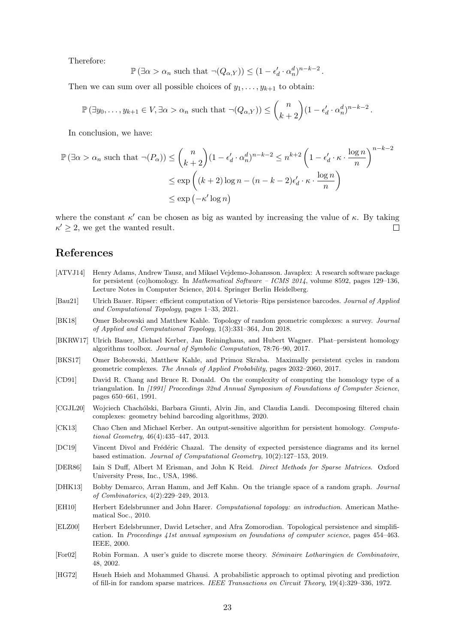Therefore:

$$
\mathbb{P}(\exists \alpha > \alpha_n \text{ such that } \neg(Q_{\alpha,Y}) \le (1 - \epsilon'_d \cdot \alpha_n^d)^{n-k-2}.
$$

Then we can sum over all possible choices of  $y_1, \ldots, y_{k+1}$  to obtain:

$$
\mathbb{P}(\exists y_0,\ldots,y_{k+1}\in V,\exists\alpha>\alpha_n\text{ such that }\neg(Q_{\alpha,Y}))\leq {n\choose k+2}(1-\epsilon'_d\cdot\alpha_n^d)^{n-k-2}.
$$

In conclusion, we have:

$$
\mathbb{P}(\exists \alpha > \alpha_n \text{ such that } \neg(P_{\alpha})) \le {n \choose k+2} (1 - \epsilon'_d \cdot \alpha_n^d)^{n-k-2} \le n^{k+2} \left(1 - \epsilon'_d \cdot \kappa \cdot \frac{\log n}{n}\right)^{n-k-2}
$$

$$
\le \exp\left((k+2)\log n - (n-k-2)\epsilon'_d \cdot \kappa \cdot \frac{\log n}{n}\right)
$$

$$
\le \exp(-\kappa' \log n)
$$

where the constant  $\kappa'$  can be chosen as big as wanted by increasing the value of  $\kappa$ . By taking  $\kappa' \geq 2$ , we get the wanted result.  $\Box$ 

## References

- <span id="page-22-3"></span>[ATVJ14] Henry Adams, Andrew Tausz, and Mikael Vejdemo-Johansson. Javaplex: A research software package for persistent (co)homology. In *Mathematical Software – ICMS 2014*, volume 8592, pages 129–136, Lecture Notes in Computer Science, 2014. Springer Berlin Heidelberg.
- <span id="page-22-4"></span>[Bau21] Ulrich Bauer. Ripser: efficient computation of Vietoris–Rips persistence barcodes. Journal of Applied and Computational Topology, pages 1–33, 2021.
- <span id="page-22-10"></span>[BK18] Omer Bobrowski and Matthew Kahle. Topology of random geometric complexes: a survey. Journal of Applied and Computational Topology, 1(3):331–364, Jun 2018.
- <span id="page-22-1"></span>[BKRW17] Ulrich Bauer, Michael Kerber, Jan Reininghaus, and Hubert Wagner. Phat–persistent homology algorithms toolbox. Journal of Symbolic Computation, 78:76–90, 2017.
- <span id="page-22-11"></span>[BKS17] Omer Bobrowski, Matthew Kahle, and Primoz Skraba. Maximally persistent cycles in random geometric complexes. The Annals of Applied Probability, pages 2032–2060, 2017.
- <span id="page-22-7"></span>[CD91] David R. Chang and Bruce R. Donald. On the complexity of computing the homology type of a triangulation. In [1991] Proceedings 32nd Annual Symposium of Foundations of Computer Science, pages 650–661, 1991.
- <span id="page-22-6"></span>[CGJL20] Wojciech Chachólski, Barbara Giunti, Alvin Jin, and Claudia Landi. Decomposing filtered chain complexes: geometry behind barcoding algorithms, 2020.
- <span id="page-22-5"></span>[CK13] Chao Chen and Michael Kerber. An output-sensitive algorithm for persistent homology. Computational Geometry, 46(4):435–447, 2013.
- <span id="page-22-12"></span>[DC19] Vincent Divol and Frédéric Chazal. The density of expected persistence diagrams and its kernel based estimation. Journal of Computational Geometry, 10(2):127–153, 2019.
- <span id="page-22-8"></span>[DER86] Iain S Duff, Albert M Erisman, and John K Reid. Direct Methods for Sparse Matrices. Oxford University Press, Inc., USA, 1986.
- <span id="page-22-2"></span>[DHK13] Bobby Demarco, Arran Hamm, and Jeff Kahn. On the triangle space of a random graph. Journal of Combinatorics, 4(2):229–249, 2013.
- <span id="page-22-13"></span>[EH10] Herbert Edelsbrunner and John Harer. Computational topology: an introduction. American Mathematical Soc., 2010.
- <span id="page-22-0"></span>[ELZ00] Herbert Edelsbrunner, David Letscher, and Afra Zomorodian. Topological persistence and simplification. In Proceedings 41st annual symposium on foundations of computer science, pages 454–463. IEEE, 2000.
- <span id="page-22-14"></span>[For02] Robin Forman. A user's guide to discrete morse theory. Séminaire Lotharingien de Combinatoire, 48, 2002.
- <span id="page-22-9"></span>[HG72] Hsueh Hsieh and Mohammed Ghausi. A probabilistic approach to optimal pivoting and prediction of fill-in for random sparse matrices. IEEE Transactions on Circuit Theory, 19(4):329–336, 1972.